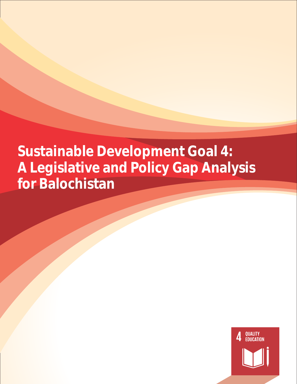# **Sustainable Development Goal 4: A Legislative and Policy Gap Analysis for Balochistan**

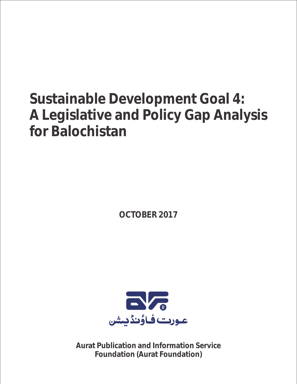# **Sustainable Development Goal 4: A Legislative and Policy Gap Analysis for Balochistan**

**OCTOBER 2017**



**Aurat Publication and Information Service Foundation (Aurat Foundation)**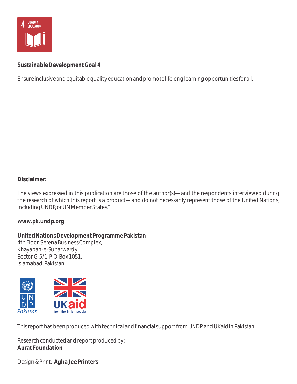

**Sustainable Development Goal 4**

Ensure inclusive and equitable quality education and promote lifelong learning opportunities for all.

**Disclaimer:**

The views expressed in this publication are those of the author(s)—and the respondents interviewed during the research of which this report is a product—and do not necessarily represent those of the United Nations, including UNDP, or UN Member States."

**www.pk.undp.org**

**United Nations Development Programme Pakistan**  4th Floor, Serena Business Complex, Khayaban-e-Suharwardy, Sector G-5/1, P. O. Box 1051, Islamabad, Pakistan.



This report has been produced with technical and financial support from UNDP and UKaid in Pakistan

Research conducted and report produced by: **Aurat Foundation**

Design & Print: **Agha Jee Printers**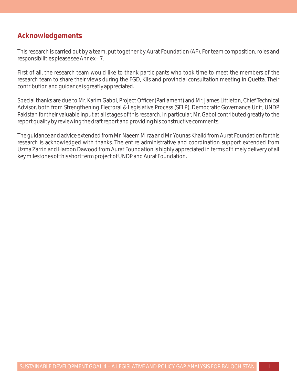## **Acknowledgements**

This research is carried out by a team, put together by Aurat Foundation (AF). For team composition, roles and responsibilities please see Annex – 7.

First of all, the research team would like to thank participants who took time to meet the members of the research team to share their views during the FGD, KIIs and provincial consultation meeting in Quetta. Their contribution and guidance is greatly appreciated.

Special thanks are due to Mr. Karim Gabol, Project Officer (Parliament) and Mr. James Littleton, Chief Technical Advisor, both from Strengthening Electoral & Legislative Process (SELP), Democratic Governance Unit, UNDP Pakistan for their valuable input at all stages of this research. In particular, Mr. Gabol contributed greatly to the report quality by reviewing the draft report and providing his constructive comments.

The guidance and advice extended from Mr. Naeem Mirza and Mr. Younas Khalid from Aurat Foundation for this research is acknowledged with thanks. The entire administrative and coordination support extended from Uzma Zarrin and Haroon Dawood from Aurat Foundation is highly appreciated in terms of timely delivery of all key milestones of this short term project of UNDP and Aurat Foundation.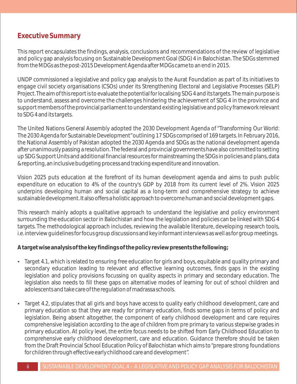## **Executive Summary**

This report encapsulates the findings, analysis, conclusions and recommendations of the review of legislative and policy gap analysis focusing on Sustainable Development Goal (SDG) 4 in Balochistan. The SDGs stemmed from the MDGs as the post-2015 Development Agenda after MDGs came to an end in 2015.

UNDP commissioned a legislative and policy gap analysis to the Aurat Foundation as part of its initiatives to engage civil society organisations (CSOs) under its Strengthening Electoral and Legislative Processes (SELP) Project. The aim of this report is to evaluate the potential for localising SDG 4 and its targets. The main purpose is to understand, assess and overcome the challenges hindering the achievement of SDG 4 in the province and support members of the provincial parliament to understand existing legislative and policy framework relevant to SDG 4 and its targets.

The United Nations General Assembly adopted the 2030 Development Agenda of "Transforming Our World: The 2030 Agenda for Sustainable Development"outlining 17 SDGs comprised of 169 targets. In February 2016, the National Assembly of Pakistan adopted the 2030 Agenda and SDGs as the national development agenda after unanimously passing a resolution. The federal and provincial governments have also committed to setting up SDG Support Units and additional financial resources for mainstreaming the SDGs in policies and plans, data & reporting, an inclusive budgeting process and tracking expenditure and innovation.

Vision 2025 puts education at the forefront of its human development agenda and aims to push public expenditure on education to 4% of the country's GDP by 2018 from its current level of 2%. Vision 2025 underpins developing human and social capital as a long-term and comprehensive strategy to achieve sustainable development. It also offers a holistic approach to overcome human and social development gaps.

This research mainly adopts a qualitative approach to understand the legislative and policy environment surrounding the education sector in Balochistan and how the legislation and policies can be linked with SDG 4 targets. The methodological approach includes, reviewing the available literature, developing research tools, i.e. interview guidelines for focus group discussions and key informant interviews as well as for group meetings.

**A target wise analysis of the key findings of the policy review presents the following;**

- Target 4.1, which is related to ensuring free education for girls and boys, equitable and quality primary and secondary education leading to relevant and effective learning outcomes, finds gaps in the existing legislation and policy provisions focussing on quality aspects in primary and secondary education. The legislation also needs to fill these gaps on alternative modes of learning for out of school children and adolescents and take care of the regulation of madrassa schools.
- Target 4.2, stipulates that all girls and boys have access to quality early childhood development, care and primary education so that they are ready for primary education, finds some gaps in terms of policy and legislation. Being absent altogether, the component of early childhood development and care requires comprehensive legislation according to the age of children from pre primary to various stepwise grades in primary education. At policy level, the entire focus needs to be shifted from Early Childhood Education to comprehensive early childhood development, care and education. Guidance therefore should be taken from the Draft Provincial School Education Policy of Balochistan which aims to "prepare strong foundations for children through effective early childhood care and development".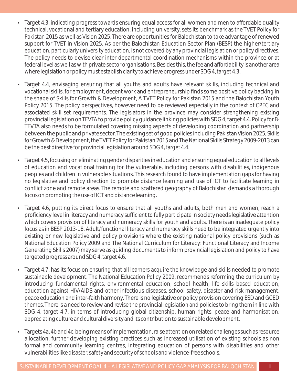- Target 4.3, indicating progress towards ensuring equal access for all women and men to affordable quality technical, vocational and tertiary education, including university, sets its benchmark as the TVET Policy for Pakistan 2015 as well as Vision 2025. There are opportunities for Balochistan to take advantage of renewed support for TVET in Vision 2025. As per the Balochistan Education Sector Plan (BESP) the higher/tertiary education, particularly university education, is not covered by any provincial legislation or policy directives. The policy needs to devise clear inter-departmental coordination mechanisms within the province or at federal level as well as with private sector organisations. Besides this, the fee and affordability is another area where legislation or policy must establish clarity to achieve progress under SDG 4, target 4.3.
- Target 4.4, envisaging ensuring that all youths and adults have relevant skills, including technical and vocational skills, for employment, decent work and entrepreneurship finds some positive policy backing in the shape of Skills for Growth & Development, A TVET Policy for Pakistan 2015 and the Balochistan Youth Policy 2015. The policy perspectives, however need to be reviewed especially in the context of CPEC and associated skill set requirements. The legislators in the province may consider strengthening existing provincial legislation on TEVTA to provide policy guidance linking policies with SDG 4, target 4.4. Policy for B-TEVTA also needs to be formulated covering missing aspects of developing coordination and partnership between the public and private sector. The existing set of good policies including Pakistan Vision 2025, Skills for Growth & Development, the TVET Policy for Pakistan 2015 and The National Skills Strategy 2009-2013 can be the best directive for provincial legislation around SDG 4, target 4.4.
- Target 4.5, focusing on eliminating gender disparities in education and ensuring equal education to all levels of education and vocational training for the vulnerable, including persons with disabilities, indigenous peoples and children in vulnerable situations. This research found to have implementation gaps for having no legislative and policy direction to promote distance learning and use of ICT to facilitate learning in conflict zone and remote areas. The remote and scattered geography of Balochistan demands a thorough focus on promoting the use of ICT and distance learning.
- Target 4.6, putting its direct focus to ensure that all youths and adults, both men and women, reach a proficiency level in literacy and numeracy sufficient to fully participate in society needs legislative attention which covers provision of literacy and numeracy skills for youth and adults. There is an inadequate policy focus as in BESP 2013-18. Adult/functional literacy and numeracy skills need to be integrated urgently into existing or new legislative and policy provisions where the existing national policy provisions (such as National Education Policy 2009 and The National Curriculum for Literacy: Functional Literacy and Income Generating Skills 2007) may serve as guiding documents to inform provincial legislation and policy to have targeted progress around SDG 4, target 4.6.
- Target 4.7, has its focus on ensuring that all learners acquire the knowledge and skills needed to promote sustainable development. The National Education Policy 2009, recommends reforming the curriculum by introducing fundamental rights, environmental education, school health, life skills based education, education against HIV/AIDS and other infectious diseases, school safety, disaster and risk management, peace education and inter-faith harmony. There is no legislative or policy provision covering ESD and GCED themes. There is a need to review and revise the provincial legislation and policies to bring them in line with SDG 4, target 4.7, in terms of introducing global citizenship, human rights, peace and harmonisation, appreciating culture and cultural diversity and its contribution to sustainable development.
- Targets 4a, 4b and 4c, being means of implementation, raise attention on related challenges such as resource allocation, further developing existing practices such as increased utilisation of existing schools as non formal and community learning centres, integrating education of persons with disabilities and other vulnerabilities like disaster, safety and security of schools and violence-free schools.

iii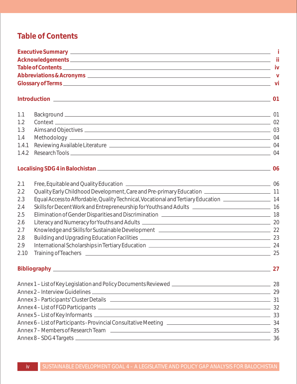## **Table of Contents**

| 1.1   |                                                                                                                |  |  |
|-------|----------------------------------------------------------------------------------------------------------------|--|--|
| 1.2   |                                                                                                                |  |  |
| 1.3   |                                                                                                                |  |  |
| 1.4   |                                                                                                                |  |  |
| 1.4.1 |                                                                                                                |  |  |
| 1.4.2 |                                                                                                                |  |  |
|       | Localising SDG 4 in Balochistan 2006 2007 10:00 06                                                             |  |  |
| 2.1   |                                                                                                                |  |  |
| 2.2   |                                                                                                                |  |  |
| 2.3   | Equal Access to Affordable, Quality Technical, Vocational and Tertiary Education ________________________ 14   |  |  |
| 2.4   | Skills for Decent Work and Entrepreneurship for Youths and Adults <b>Common Construction</b> 16                |  |  |
| 2.5   | Elimination of Gender Disparities and Discrimination [19] [2012] [2013] [2013] [2013] [2014] [2014] [2014] [20 |  |  |
| 2.6   |                                                                                                                |  |  |
| 2.7   |                                                                                                                |  |  |
| 2.8   |                                                                                                                |  |  |
| 2.9   |                                                                                                                |  |  |
| 2.10  |                                                                                                                |  |  |
|       | Bibliography 27                                                                                                |  |  |
|       |                                                                                                                |  |  |
|       |                                                                                                                |  |  |
|       | Annex 3-Participants' Cluster Details (2008) 2014 12:31 Annex 3-Participants' Cluster Details                  |  |  |
|       |                                                                                                                |  |  |
|       |                                                                                                                |  |  |
|       |                                                                                                                |  |  |
|       |                                                                                                                |  |  |
|       |                                                                                                                |  |  |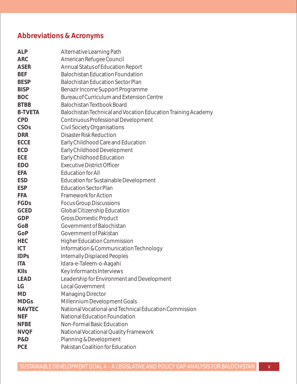## **Abbreviations & Acronyms**

| <b>ALP</b>     |                                                               |
|----------------|---------------------------------------------------------------|
| <b>ARC</b>     | Alternative Learning Path<br>American Refugee Council         |
| <b>ASER</b>    | Annual Status of Education Report                             |
| <b>BEF</b>     | <b>Balochistan Education Foundation</b>                       |
| <b>BESP</b>    | <b>Balochistan Education Sector Plan</b>                      |
| <b>BISP</b>    | Benazir Income Support Programme                              |
| <b>BOC</b>     | Bureau of Curriculum and Extension Centre                     |
| <b>BTBB</b>    | <b>Balochistan Textbook Board</b>                             |
| <b>B-TVETA</b> | Balochistan Technical and Vocation Education Training Academy |
| <b>CPD</b>     | Continuous Professional Development                           |
| CSOs           | <b>Civil Society Organisations</b>                            |
| <b>DRR</b>     | <b>Disaster Risk Reduction</b>                                |
| <b>ECCE</b>    | Early Childhood Care and Education                            |
| ECD            | Early Childhood Development                                   |
| ECE            | Early Childhood Education                                     |
| <b>EDO</b>     | <b>Executive District Officer</b>                             |
| <b>EFA</b>     | <b>Education for All</b>                                      |
| <b>ESD</b>     | Education for Sustainable Development                         |
| <b>ESP</b>     | <b>Education Sector Plan</b>                                  |
| <b>FFA</b>     | <b>Framework for Action</b>                                   |
| FGDs           | <b>Focus Group Discussions</b>                                |
| <b>GCED</b>    | Global Citizenship Education                                  |
| <b>GDP</b>     | <b>Gross Domestic Product</b>                                 |
| GoB            | Government of Balochistan                                     |
| GoP            | Government of Pakistan                                        |
| <b>HEC</b>     | <b>Higher Education Commission</b>                            |
| <b>ICT</b>     | Information & Communication Technology                        |
| <b>IDPs</b>    | <b>Internally Displaced Peoples</b>                           |
| <b>ITA</b>     | Idara-e-Taleem-o-Aagahi                                       |
| KIIs           | Key Informants Interviews                                     |
| <b>LEAD</b>    | Leadership for Environment and Development                    |
| LG             | Local Government                                              |
| <b>MD</b>      | Managing Director                                             |
| <b>MDGs</b>    | Millennium Development Goals                                  |
| <b>NAVTEC</b>  | National Vocational and Technical Education Commission        |
| <b>NEF</b>     | National Education Foundation                                 |
| <b>NFBE</b>    | Non-Formal Basic Education                                    |
| <b>NVQF</b>    | National Vocational Quality Framework                         |
| P&D            | Planning & Development                                        |
| <b>PCE</b>     | Pakistan Coalition for Education                              |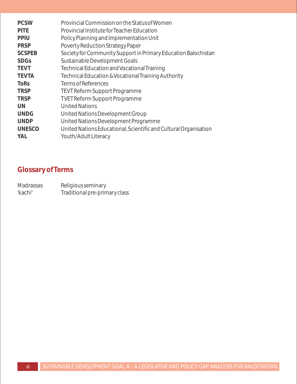| <b>PCSW</b>   | Provincial Commission on the Status of Women                     |
|---------------|------------------------------------------------------------------|
| <b>PITE</b>   | Provincial Institute for Teacher Education                       |
| PPIU          | Policy Planning and Implementation Unit                          |
| <b>PRSP</b>   | Poverty Reduction Strategy Paper                                 |
| <b>SCSPEB</b> | Society for Community Support in Primary Education Balochistan   |
| <b>SDGs</b>   | Sustainable Development Goals                                    |
| <b>TEVT</b>   | Technical Education and Vocational Training                      |
| <b>TEVTA</b>  | Technical Education & Vocational Training Authority              |
| <b>ToRs</b>   | <b>Terms of References</b>                                       |
| <b>TRSP</b>   | TEVT Reform Support Programme                                    |
| <b>TRSP</b>   | <b>TVET Reform Support Programme</b>                             |
| UN            | <b>United Nations</b>                                            |
| <b>UNDG</b>   | United Nations Development Group                                 |
| <b>UNDP</b>   | United Nations Development Programme                             |
| <b>UNESCO</b> | United Nations Educational, Scientific and Cultural Organisation |
| <b>YAL</b>    | Youth/Adult Literacy                                             |

# **Glossary of Terms**

| <b>Madrassas</b> | Religious seminary            |
|------------------|-------------------------------|
| 'kachi'          | Traditional pre-primary class |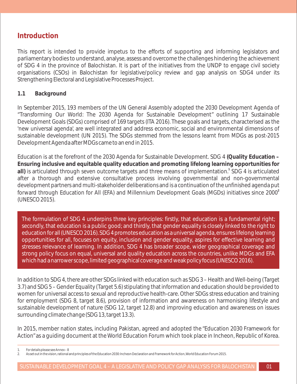## **Introduction**

This report is intended to provide impetus to the efforts of supporting and informing legislators and parliamentary bodies to understand, analyse, assess and overcome the challenges hindering the achievement of SDG 4 in the province of Balochistan. It is part of the initiatives from the UNDP to engage civil society organisations (CSOs) in Balochistan for legislative/policy review and gap analysis on SDG4 under its Strengthening Electoral and Legislative Processes Project.

#### **1.1 Background**

In September 2015, 193 members of the UN General Assembly adopted the 2030 Development Agenda of "Transforming Our World: The 2030 Agenda for Sustainable Development" outlining 17 Sustainable Development Goals (SDGs) comprised of 169 targets (ITA 2016). These goals and targets, characterised as the 'new universal agenda', are well integrated and address economic, social and environmental dimensions of sustainable development (UN 2015). The SDGs stemmed from the lessons learnt from MDGs as post-2015 Development Agenda after MDGs came to an end in 2015.

Education is at the forefront of the 2030 Agenda for Sustainable Development. SDG 4 **(Quality Education – Ensuring inclusive and equitable quality education and promoting lifelong learning opportunities for**  all) is articulated through seven outcome targets and three means of implementation.<sup>1</sup> SDG 4 is articulated after a thorough and extensive consultative process involving governmental and non-governmental development partners and multi-stakeholder deliberations and is a continuation of the unfinished agenda put **2** forward through Education for All (EFA) and Millennium Development Goals (MGDs) initiatives since 2000 (UNESCO 2015).

The formulation of SDG 4 underpins three key principles: firstly, that education is a fundamental right; secondly, that education is a public good; and thirdly, that gender equality is closely linked to the right to education for all (UNESCO 2016). SDG 4 promotes education as a universal agenda, ensures lifelong learning opportunities for all, focuses on equity, inclusion and gender equality, aspires for effective learning and stresses relevance of learning. In addition, SDG 4 has broader scope, wider geographical coverage and strong policy focus on equal, universal and quality education across the countries, unlike MDGs and EFA which had a narrower scope, limited geographical coverage and weak policy focus (UNESCO 2016).

In addition to SDG 4, there are other SDGs linked with education such as SDG 3 – Health and Well-being (Target 3.7) and SDG 5 – Gender Equality (Target 5.6) stipulating that information and education should be provided to women for universal access to sexual and reproductive health-care. Other SDGs stress education and training for employment (SDG 8, target 8.6), provision of information and awareness on harmonising lifestyle and sustainable development of nature (SDG 12, target 12.8) and improving education and awareness on issues surrounding climate change (SDG 13, target 13.3).

In 2015, member nation states, including Pakistan, agreed and adopted the "Education 2030 Framework for Action"as a guiding document at the World Education Forum which took place in Incheon, Republic of Korea.

<sup>1.</sup> For details please see Annex – 8

<sup>2.</sup> As set out in the vision, rational and principles of the Education 2030: Incheon Declaration and Framework for Action, World Education Forum 2015.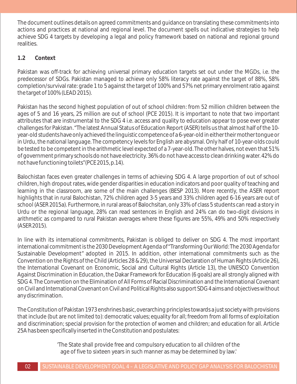The document outlines details on agreed commitments and guidance on translating these commitments into actions and practices at national and regional level. The document spells out indicative strategies to help achieve SDG 4 targets by developing a legal and policy framework based on national and regional ground realities.

#### **1.2 Context**

Pakistan was off-track for achieving universal primary education targets set out under the MGDs, i.e. the predecessor of SDGs. Pakistan managed to achieve only 58% literacy rate against the target of 88%, 58% completion/survival rate: grade 1 to 5 against the target of 100% and 57% net primary enrolment ratio against the target of 100% (LEAD 2015).

Pakistan has the second highest population of out of school children: from 52 million children between the ages of 5 and 16 years, 25 million are out of school (PCE 2015). It is important to note that two important attributes that are instrumental to the SDG 4 i.e. access and quality to education appear to pose ever greater challenges for Pakistan. "The latest Annual Status of Education Report (ASER) tells us that almost half of the 10 year-old students have only achieved the linguistic competence of a 6-year-old in either their mother tongue or in Urdu, the national language. The competency levels for English are abysmal. Only half of 10-year-olds could be tested to be competent in the arithmetic level expected of a 7-year-old. The other halves, not even that 51% of government primary schools do not have electricity. 36% do not have access to clean drinking water. 42% do not have functioning toilets"(PCE 2015, p.14).

Balochistan faces even greater challenges in terms of achieving SDG 4. A large proportion of out of school children, high dropout rates, wide gender disparities in education indicators and poor quality of teaching and learning in the classroom, are some of the main challenges (BESP 2013). More recently, the ASER report highlights that in rural Balochistan, 72% children aged 3-5 years and 33% children aged 6-16 years are out of school (ASER 2015a). Furthermore, in rural areas of Balochsitan, only 33% of class 5 students can read a story in Urdu or the regional language, 28% can read sentences in English and 24% can do two-digit divisions in arithmetic as compared to rural Pakistan averages where these figures are 55%, 49% and 50% respectively (ASER 2015).

In line with its international commitments, Pakistan is obliged to deliver on SDG 4. The most important international commitment is the 2030 Development Agenda of "Transforming Our World: The 2030 Agenda for Sustainable Development" adopted in 2015. In addition, other international commitments such as the Convention on the Rights of the Child (Articles 28 & 29), the Universal Declaration of Human Rights (Article 26), the International Covenant on Economic, Social and Cultural Rights (Article 13), the UNESCO Convention Against Discrimination in Education, the Dakar Framework for Education (6 goals) are all strongly aligned with SDG 4. The Convention on the Elimination of All Forms of Racial Discrimination and the International Covenant on Civil and International Covenant on Civil and Political Rights also support SDG 4 aims and objectives without any discrimination.

The Constitution of Pakistan 1973 enshrines basic, overarching principles towards a just society with provisions that include (but are not limited to): democratic values; equality for all; freedom from all forms of exploitation and discrimination; special provision for the protection of women and children; and education for all. Article 25A has been specifically inserted in the Constitution and postulates:

> 'The State shall provide free and compulsory education to all children of the age of five to sixteen years in such manner as may be determined by law.'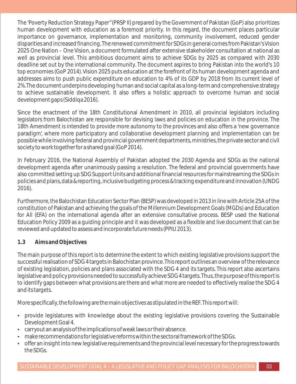The 'Poverty Reduction Strategy Paper"(PRSP II) prepared by the Government of Pakistan (GoP) also prioritizes human development with education as a foremost priority. In this regard, the document places particular importance on governance, implementation and monitoring, community involvement, reduced gender disparities and increased financing. The renewed commitment for SDGs in general comes from Pakistan's Vision 2025 One Nation – One Vision, a document formulated after extensive stakeholder consultation at national as well as provincial level. This ambitious document aims to achieve SDGs by 2025 as compared with 2030 deadline set out by the international community. The document aspires to bring Pakistan into the world's 10 top economies (GoP 2014). Vision 2025 puts education at the forefront of its human development agenda and addresses aims to push public expenditure on education to 4% of its GDP by 2018 from its current level of 2%.The document underpins developing human and social capital as a long-term and comprehensive strategy to achieve sustainable development. It also offers a holistic approach to overcome human and social development gaps (Siddiqa 2016).

Since the enactment of the 18th Constitutional Amendment in 2010, all provincial legislators including legislators from Balochistan are responsible for devising laws and policies on education in the province. The 18th Amendment is intended to provide more autonomy to the provinces and also offers a 'new governance paradigm', where more participatory and collaborative development planning and implementation can be possible while involving federal and provincial government departments, ministries, the private sector and civil society to work together for a shared goal (GoP 2014).

In February 2016, the National Assembly of Pakistan adopted the 2030 Agenda and SDGs as the national development agenda after unanimously passing a resolution. The federal and provincial governments have also committed setting up SDG Support Units and additional financial resources for mainstreaming the SDGs in policies and plans, data & reporting, inclusive budgeting process & tracking expenditure and innovation (UNDG 2016).

Furthermore, the Balochistan Education Sector Plan (BESP) was developed in 2013 in line with Article 25A of the constitution of Pakistan and achieving the goals of the Millennium Development Goals (MGDs) and Education for All (EFA) on the international agenda after an extensive consultative process. BESP used the National Education Policy 2009 as a guiding principle and it was developed as a flexible and live document that can be reviewed and updated to assess and incorporate future needs (PPIU 2013).

#### **1.3 Aims and Objectives**

The main purpose of this report is to determine the extent to which existing legislative provisions support the successful realisation of SDG 4 targets in Balochistan province. This report outlines an overview of the relevance of existing legislation, policies and plans associated with the SDG 4 and its targets. This report also ascertains legislative and policy provisions needed to successfully achieve SDG 4 targets. Thus, the purpose of this report is to identify gaps between what provisions are there and what more are needed to effectively realise the SDG 4 and its targets.

More specifically, the following are the main objectives as stipulated in the REF. This report will:

- provide legislatures with knowledge about the existing legislative provisions covering the Sustainable Development Goal 4.
- carryout an analysis of the implications of weak laws or their absence.
- make recommendations for legislative reforms within the sectoral framework of the SDGs.
- offer an insight into new legislative requirements and the provincial level necessary for the progress towards the SDGs.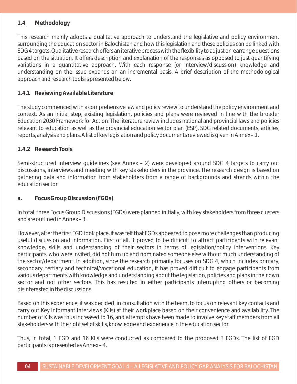#### **1.4 Methodology**

This research mainly adopts a qualitative approach to understand the legislative and policy environment surrounding the education sector in Balochistan and how this legislation and these policies can be linked with SDG 4 targets. Qualitative research offers an iterative process with the flexibility to adjust or rearrange questions based on the situation. It offers description and explanation of the responses as opposed to just quantifying variations in a quantitative approach. With each response (or interview/discussion) knowledge and understanding on the issue expands on an incremental basis. A brief description of the methodological approach and research tools is presented below.

#### **1.4.1 Reviewing Available Literature**

The study commenced with a comprehensive law and policy review to understand the policy environment and context. As an initial step, existing legislation, policies and plans were reviewed in line with the broader Education 2030 Framework for Action. The literature review includes national and provincial laws and policies relevant to education as well as the provincial education sector plan (ESP), SDG related documents, articles, reports, analysis and plans. A list of key legislation and policy documents reviewed is given in Annex – 1.

#### **1.4.2 Research Tools**

Semi-structured interview guidelines (see Annex – 2) were developed around SDG 4 targets to carry out discussions, interviews and meeting with key stakeholders in the province. The research design is based on gathering data and information from stakeholders from a range of backgrounds and strands within the education sector.

#### **a. Focus Group Discussion (FGDs)**

In total, three Focus Group Discussions (FGDs) were planned initially, with key stakeholders from three clusters and are outlined in Annex – 3.

However, after the first FGD took place, it was felt that FGDs appeared to pose more challenges than producing useful discussion and information. First of all, it proved to be difficult to attract participants with relevant knowledge, skills and understanding of their sectors in terms of legislation/policy interventions. Key participants, who were invited, did not turn up and nominated someone else without much understanding of the sector/department. In addition, since the research primarily focuses on SDG 4, which includes primary, secondary, tertiary and technical/vocational education, it has proved difficult to engage participants from various departments with knowledge and understanding about the legislation, policies and plans in their own sector and not other sectors. This has resulted in either participants interrupting others or becoming disinterested in the discussions.

Based on this experience, it was decided, in consultation with the team, to focus on relevant key contacts and carry out Key Informant Interviews (KIIs) at their workplace based on their convenience and availability. The number of KIIs was thus increased to 16, and attempts have been made to involve key staff members from all stakeholders with the right set of skills, knowledge and experience in the education sector.

Thus, in total, 1 FGD and 16 KIIs were conducted as compared to the proposed 3 FGDs. The list of FGD participants is presented as Annex – 4.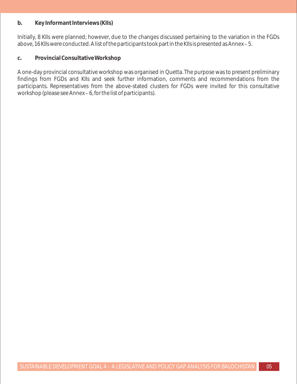#### **b. Key Informant Interviews (KIIs)**

Initially, 8 KIIs were planned; however, due to the changes discussed pertaining to the variation in the FGDs above, 16 KIIs were conducted. A list of the participants took part in the KIIs is presented as Annex – 5.

**c. Provincial Consultative Workshop**

A one-day provincial consultative workshop was organised in Quetta. The purpose was to present preliminary findings from FGDs and KIIs and seek further information, comments and recommendations from the participants. Representatives from the above-stated clusters for FGDs were invited for this consultative workshop (please see Annex – 6, for the list of participants).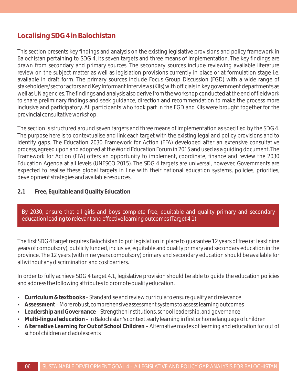## **Localising SDG 4 in Balochistan**

This section presents key findings and analysis on the existing legislative provisions and policy framework in Balochistan pertaining to SDG 4, its seven targets and three means of implementation. The key findings are drawn from secondary and primary sources. The secondary sources include reviewing available literature review on the subject matter as well as legislation provisions currently in place or at formulation stage i.e. available in draft form. The primary sources include Focus Group Discussion (FGD) with a wide range of stakeholders/sector actors and Key Informant Interviews (KIIs) with officials in key government departments as well as UN agencies. The findings and analysis also derive from the workshop conducted at the end of fieldwork to share preliminary findings and seek guidance, direction and recommendation to make the process more inclusive and participatory. All participants who took part in the FGD and KIIs were brought together for the provincial consultative workshop.

The section is structured around seven targets and three means of implementation as specified by the SDG 4. The purpose here is to contextualise and link each target with the existing legal and policy provisions and to identify gaps. The Education 2030 Framework for Action (FFA) developed after an extensive consultative process, agreed upon and adopted at the World Education Forum in 2015 and used as a guiding document. The Framework for Action (FFA) offers an opportunity to implement, coordinate, finance and review the 2030 Education Agenda at all levels (UNESCO 2015). The SDG 4 targets are universal, however, Governments are expected to realise these global targets in line with their national education systems, policies, priorities, development strategies and available resources.

#### **2.1 Free, Equitable and Quality Education**

By 2030, ensure that all girls and boys complete free, equitable and quality primary and secondary education leading to relevant and effective learning outcomes (Target 4.1)

The first SDG 4 target requires Balochistan to put legislation in place to guarantee 12 years of free (at least nine years of compulsory), publicly funded, inclusive, equitable and quality primary and secondary education in the province. The 12 years (with nine years compulsory) primary and secondary education should be available for all without any discrimination and cost barriers.

In order to fully achieve SDG 4 target 4.1, legislative provision should be able to guide the education policies and address the following attributes to promote quality education.

- **Curriculum & textbooks Standardise and review curricula to ensure quality and relevance**
- **Assessment** More robust, comprehensive assessment systems to assess learning outcomes
- Leadership and Governance Strengthen institutions, school leadership, and governance
- $\bullet$  Multi-lingual education In Balochistan's context, early learning in first or home language of children
- **Alternative Learning for Out of School Children Alternative modes of learning and education for out of** school children and adolescents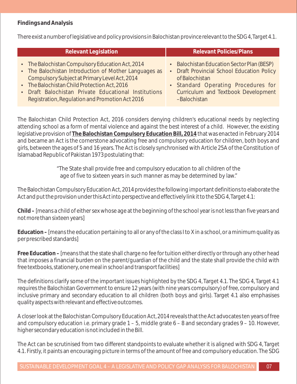#### **Findings and Analysis**

There exist a number of legislative and policy provisions in Balochistan province relevant to the SDG 4, Target 4.1.

| <b>Relevant Legislation</b>                                                                                                                                | <b>Relevant Policies/Plans</b>                                                                             |
|------------------------------------------------------------------------------------------------------------------------------------------------------------|------------------------------------------------------------------------------------------------------------|
| • The Balochistan Compulsory Education Act, 2014<br>• The Balochistan Introduction of Mother Languages as<br>Compulsory Subject at Primary Level Act. 2014 | • Balochistan Education Sector Plan (BESP)<br>• Draft Provincial School Education Policy<br>of Balochistan |

- Compulsory Subject at Primary Level Act, 2014 • The Balochistan Child Protection Act, 2016
- Draft Balochistan Private Educational Institutions Registration, Regulation and Promotion Act 2016
- Standard Operating Procedures for Curriculum and Textbook Development –Balochistan

The Balochistan Child Protection Act, 2016 considers denying children's educational needs by neglecting attending school as a form of mental violence and against the best interest of a child. However, the existing legislative provision of **The Balochistan Compulsory Education Bill, 2014** that was enacted in February 2014 and became an Act is the cornerstone advocating free and compulsory education for children, both boys and girls, between the ages of 5 and 16 years. The Act is closely synchronised with Article 25A of the Constitution of Islamabad Republic of Pakistan 1973 postulating that:

> "The State shall provide free and compulsory education to all children of the age of five to sixteen years in such manner as may be determined by law."

The Balochistan Compulsory Education Act, 2014 provides the following important definitions to elaborate the Act and put the provision under this Act into perspective and effectively link it to the SDG 4, Target 4.1:

**Child –** [means a child of either sex whose age at the beginning of the school year is not less than five years and not more than sixteen years]

**Education –** [means the education pertaining to all or any of the class I to X in a school, or a minimum quality as per prescribed standards]

**Free Education –** [means that the state shall charge no fee for tuition either directly or through any other head that imposes a financial burden on the parent/guardian of the child and the state shall provide the child with free textbooks, stationery, one meal in school and transport facilities]

The definitions clarify some of the important issues highlighted by the SDG 4, Target 4.1. The SDG 4, Target 4.1 requires the Balochistan Government to ensure 12 years (with nine years compulsory) of free, compulsory and inclusive primary and secondary education to all children (both boys and girls). Target 4.1 also emphasises quality aspects with relevant and effective outcomes.

A closer look at the Balochistan Compulsory Education Act, 2014 reveals that the Act advocates ten years of free and compulsory education i.e. primary grade 1 – 5, middle grate 6 – 8 and secondary grades 9 – 10. However, higher secondary education is not included in the Bill.

The Act can be scrutinised from two different standpoints to evaluate whether it is aligned with SDG 4, Target 4.1. Firstly, it paints an encouraging picture in terms of the amount of free and compulsory education. The SDG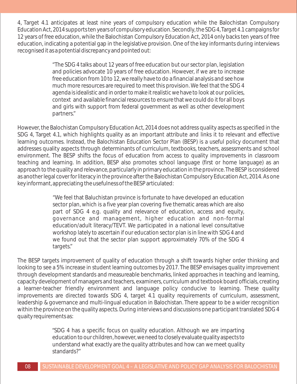4, Target 4.1 anticipates at least nine years of compulsory education while the Balochistan Compulsory Education Act, 2014 supports ten years of compulsory education. Secondly, the SDG 4, Target 4.1 campaigns for 12 years of free education, while the Balochistan Compulsory Education Act, 2014 only backs ten years of free education, indicating a potential gap in the legislative provision. One of the key informants during interviews recognised it as a potential discrepancy and pointed out:

> "The SDG 4 talks about 12 years of free education but our sector plan, legislation and policies advocate 10 years of free education. However, if we are to increase free education from 10 to 12, we really have to do a financial analysis and see how much more resources are required to meet this provision. We feel that the SDG 4 agenda is idealistic and in order to make it realistic we have to look at our policies, context and available financial resources to ensure that we could do it for all boys and girls with support from federal government as well as other development partners."

However, the Balochistan Compulsory Education Act, 2014 does not address quality aspects as specified in the SDG 4, Target 4.1, which highlights quality as an important attribute and links it to relevant and effective learning outcomes. Instead, the Balochistan Education Sector Plan (BESP) is a useful policy document that addresses quality aspects through determinants of curriculum, textbooks, teachers, assessments and school environment. The BESP shifts the focus of education from access to quality improvements in classroom teaching and learning. In addition, BESP also promotes school language (first or home language) as an approach to the quality and relevance, particularly in primary education in the province. The BESP is considered as another legal cover for literacy in the province after the Balochistan Compulsory Education Act, 2014. As one key informant, appreciating the usefulness of the BESP articulated:

> "We feel that Baluchistan province is fortunate to have developed an education sector plan, which is a five year plan covering five thematic areas which are also part of SDG 4 e.g. quality and relevance of education, access and equity, governance and management, higher education and non-formal education/adult literacy/TEVT. We participated in a national level consultative workshop lately to ascertain if our education sector plan is in line with SDG 4 and we found out that the sector plan support approximately 70% of the SDG 4 targets."

The BESP targets improvement of quality of education through a shift towards higher order thinking and looking to see a 5% increase in student learning outcomes by 2017. The BESP envisages quality improvement through development standards and measureable benchmarks, linked approaches in teaching and learning, capacity development of managers and teachers, examiners, curriculum and textbook board officials, creating a learner-teacher friendly environment and language policy conducive to learning. These quality improvements are directed towards SDG 4, target 4.1 quality requirements of curriculum, assessment, leadership & governance and multi-lingual education in Balochistan. There appear to be a wider recognition within the province on the quality aspects. During interviews and discussions one participant translated SDG 4 quaity requirements as:

> "SDG 4 has a specific focus on quality education. Although we are imparting education to our children, however, we need to closely evaluate quality aspects to understand what exactly are the quality attributes and how can we meet quality standards?"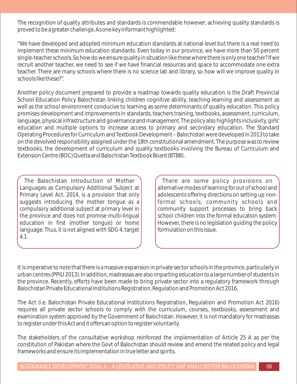The recognition of quality attributes and standards is commendable however; achieving quality standards is proved to be a greater challenge. As one key informant highlighted:

"We have developed and adopted minimum education standards at national level but there is a real need to implement these minimum education standards. Even today in our province, we have more than 50 percent single-teacher schools. So how do we ensure quality in situation like these where there is only one teacher? If we recruit another teacher, we need to see if we have financial resources and space to accommodate one extra teacher. There are many schools where there is no science lab and library, so how will we improve quality in schools like these?".

Another policy document prepared to provide a roadmap towards quality education is the Draft Provincial School Education Policy Balochistan linking children cognitive ability, teaching-learning and assessment as well as the school environment conducive to learning as some determinants of quality education. This policy promises development and improvements in standards, teachers training, textbooks, assessment, curriculum, language, physical infrastructure and governance and management. The policy also highlights inclusivity, girls' education and multiple options to increase access to primary and secondary education. The Standard Operating Procedures for Curriculum and Textbook Development – Balochistan were developed in 2013 to take on the devolved responsibility assigned under the 18th constitutional amendment. The purpose was to review textbooks, the development of curriculum and quality textbooks involving the Bureau of Curriculum and Extension Centre (BOC) Quetta and Balochistan Textbook Board (BTBB).

The Balochistan Introduction of Mother Languages as Compulsory Additional Subject at Primary Level Act, 2014, is a provision that only suggests introducing the mother tongue as a compulsory additional subject at primary level in the province and does not promise multi-lingual education in first (mother tongue) or home language. Thus, it is not aligned with SDG 4, target 4.1.

There are some policy provisions on alternative modes of learning for out of school and adolescents offering directions on setting up nonformal schools, community schools and community support processes to bring back school children into the formal education system. However, there is no legislation guiding the policy formulation on this issue.

It is imperative to note that there is a massive expansion in private sector schools in the province, particularly in urban centres (PPIU 2013). In addition, madrassas are also imparting education to a large number of students in the province. Recently, efforts have been made to bring private sector into a regulatory framework through Balochistan Private Educational Institutions Registration, Regulation and Promotion Act 2016.

The Act (i.e. Balochistan Private Educational Institutions Registration, Regulation and Promotion Act 2016) requires all private sector schools to comply with the curriculum, courses, textbooks, assessment and examination system approved by the Government of Balochistan. However, it is not mandatory for madrassas to register under this Act and it offers an option to register voluntarily.

The stakeholders of the consultative workshop reinforced the implementation of Article 25 A as per the constitution of Pakistan where the Govt of Balochistan should review and emend the related policy and legal frameworks and ensure its implementation in true letter and spirits.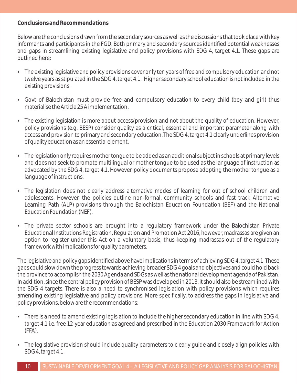#### **Conclusions and Recommendations**

Below are the conclusions drawn from the secondary sources as well as the discussions that took place with key informants and participants in the FGD. Both primary and secondary sources identified potential weaknesses and gaps in streamlining existing legislative and policy provisions with SDG 4, target 4.1. These gaps are outlined here:

- The existing legislative and policy provisions cover only ten years of free and compulsory education and not twelve years as stipulated in the SDG 4, target 4.1. Higher secondary school education is not included in the existing provisions.
- Govt of Balochistan must provide free and compulsory education to every child (boy and girl) thus materialise the Article 25 A implementation.
- The existing legislation is more about access/provision and not about the quality of education. However, policy provisions (e.g. BESP) consider quality as a critical, essential and important parameter along with access and provision to primary and secondary education. The SDG 4, target 4.1 clearly underlines provision of quality education as an essential element.
- The legislation only requires mother tongue to be added as an additional subject in schools at primary levels and does not seek to promote multilingual or mother tongue to be used as the language of instruction as advocated by the SDG 4, target 4.1. However, policy documents propose adopting the mother tongue as a language of instructions.
- The legislation does not clearly address alternative modes of learning for out of school children and adolescents. However, the policies outline non-formal, community schools and fast track Alternative Learning Path (ALP) provisions through the Balochistan Education Foundation (BEF) and the National Education Foundation (NEF).
- The private sector schools are brought into a regulatory framework under the Balochistan Private Educational Institutions Registration, Regulation and Promotion Act 2016, however, madrassas are given an option to register under this Act on a voluntary basis, thus keeping madrassas out of the regulatory framework with implications for quality parameters.

The legislative and policy gaps identified above have implications in terms of achieving SDG 4, target 4.1. These gaps could slow down the progress towards achieving broader SDG 4 goals and objectives and could hold back the province to accomplish the 2030 Agenda and SDGs as well as the national development agenda of Pakistan. In addition, since the central policy provision of BESP was developed in 2013, it should also be streamlined with the SDG 4 targets. There is also a need to synchronised legislation with policy provisions which requires amending existing legislative and policy provisions. More specifically, to address the gaps in legislative and policy provisions, below are the recommendations:

- There is a need to amend existing legislation to include the higher secondary education in line with SDG 4, target 4.1 i.e. free 12-year education as agreed and prescribed in the Education 2030 Framework for Action (FFA).
- The legislative provision should include quality parameters to clearly quide and closely align policies with SDG 4, target 4.1.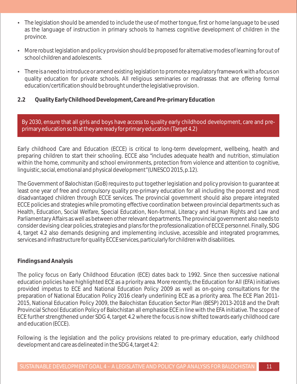- The legislation should be amended to include the use of mother tongue, first or home language to be used as the language of instruction in primary schools to harness cognitive development of children in the province.
- More robust legislation and policy provision should be proposed for alternative modes of learning for out of school children and adolescents.
- There is a need to introduce or amend existing legislation to promote a regulatory framework with a focus on quality education for private schools. All religious seminaries or madrassas that are offering formal education/certification should be brought under the legislative provision.
- **2.2 Quality Early Childhood Development, Care and Pre-primary Education**

By 2030, ensure that all girls and boys have access to quality early childhood development, care and preprimary education so that they are ready for primary education (Target 4.2)

Early childhood Care and Education (ECCE) is critical to long-term development, wellbeing, health and preparing children to start their schooling. ECCE also "includes adequate health and nutrition, stimulation within the home, community and school environments, protection from violence and attention to cognitive, linguistic, social, emotional and physical development"(UNESCO 2015, p.12).

The Government of Balochistan (GoB) requires to put together legislation and policy provision to guarantee at least one year of free and compulsory quality pre-primary education for all including the poorest and most disadvantaged children through ECCE services. The provincial government should also prepare integrated ECCE policies and strategies while promoting effective coordination between provincial departments such as Health, Education, Social Welfare, Special Education, Non-formal, Literacy and Human Rights and Law and Parliamentary Affairs as well as between other relevant departments. The provincial government also needs to consider devising clear policies, strategies and plans for the professionalization of ECCE personnel. Finally, SDG 4, target 4.2 also demands designing and implementing inclusive, accessible and integrated programmes, services and infrastructure for quality ECCE services, particularly for children with disabilities.

#### **Findings and Analysis**

The policy focus on Early Childhood Education (ECE) dates back to 1992. Since then successive national education policies have highlighted ECE as a priority area. More recently, the Education for All (EFA) initiatives provided impetus to ECE and National Education Policy 2009 as well as on-going consultations for the preparation of National Education Policy 2016 clearly underlining ECE as a priority area. The ECE Plan 2011- 2015, National Education Policy 2009, the Balochistan Education Sector Plan (BESP) 2013-2018 and the Draft Provincial School Education Policy of Balochistan all emphasise ECE in line with the EFA initiative. The scope of ECE further strengthened under SDG 4, target 4.2 where the focus is now shifted towards early childhood care and education (ECCE).

Following is the legislation and the policy provisions related to pre-primary education, early childhood development and care as delineated in the SDG 4, target 4.2: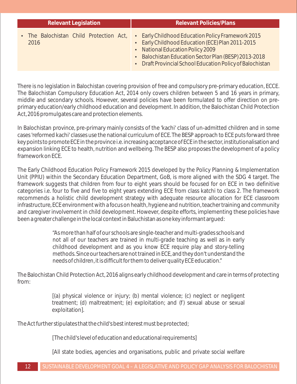| <b>Relevant Legislation</b>                     | <b>Relevant Policies/Plans</b>                                                                                                                                                                                                                                 |  |
|-------------------------------------------------|----------------------------------------------------------------------------------------------------------------------------------------------------------------------------------------------------------------------------------------------------------------|--|
| • The Balochistan Child Protection Act,<br>2016 | • Early Childhood Education Policy Framework 2015<br>• Early Childhood Education (ECE) Plan 2011-2015<br>• National Education Policy 2009<br>• Balochistan Education Sector Plan (BESP) 2013-2018<br>• Draft Provincial School Education Policy of Balochistan |  |

There is no legislation in Balochistan covering provision of free and compulsory pre-primary education, ECCE. The Balochistan Compulsory Education Act, 2014 only covers children between 5 and 16 years in primary, middle and secondary schools. However, several policies have been formulated to offer direction on preprimary education/early childhood education and development. In addition, the Balochistan Child Protection Act, 2016 promulgates care and protection elements.

In Balochistan province, pre-primary mainly consists of the 'kachi' class of un-admitted children and in some cases 'reformed kachi' classes use the national curriculum of ECE. The BESP approach to ECE puts forward three key points to promote ECE in the province i.e. increasing acceptance of ECE in the sector, institutionalisation and expansion linking ECE to health, nutrition and wellbeing. The BESP also proposes the development of a policy framework on ECE.

The Early Childhood Education Policy Framework 2015 developed by the Policy Planning & Implementation Unit (PPIU) within the Secondary Education Department, GoB, is more aligned with the SDG 4 target. The framework suggests that children from four to eight years should be focused for on ECE in two definitive categories i.e. four to five and five to eight years extending ECE from class katchi to class 2. The framework recommends a holistic child development strategy with adequate resource allocation for ECE classroom infrastructure, ECE environment with a focus on health, hygiene and nutrition, teacher training and community and caregiver involvement in child development. However, despite efforts, implementing these policies have been a greater challenge in the local context in Baluchistan as one key informant argued:

> "As more than half of our schools are single-teacher and multi-grades schools and not all of our teachers are trained in multi-grade teaching as well as in early childhood development and as you know ECE require play and story-telling methods. Since our teachers are not trained in ECE, and they don't understand the needs of children, it is difficult for them to deliver quality ECE education."

The Balochistan Child Protection Act, 2016 aligns early childhood development and care in terms of protecting from:

> [(a) physical violence or injury; (b) mental violence; (c) neglect or negligent treatment; (d) maltreatment; (e) exploitation; and (f) sexual abuse or sexual exploitation].

The Act further stipulates that the child's best interest must be protected;

[The child's level of education and educational requirements]

[All state bodies, agencies and organisations, public and private social welfare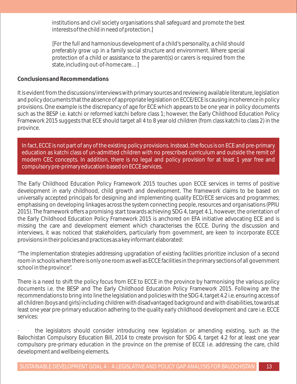institutions and civil society organisations shall safeguard and promote the best interests of the child in need of protection.]

[For the full and harmonious development of a child's personality, a child should preferably grow up in a family social structure and environment. Where special protection of a child or assistance to the parent(s) or carers is required from the state, including out-of-home care…]

**Conclusions and Recommendations**

It is evident from the discussions/interviews with primary sources and reviewing available literature, legislation and policy documents that the absence of appropriate legislation on ECCE/ECE is causing incoherence in policy provisions. One example is the discrepancy of age for ECE which appears to be one year in policy documents such as the BESP i.e. katchi or reformed katchi before class 1; however, the Early Childhood Education Policy Framework 2015 suggests that ECE should target all 4 to 8 year old children (from class katchi to class 2) in the province.

In fact, ECCE is not part of any of the existing policy provisions. Instead, the focus is on ECE and pre-primary education as katchi class of un-admitted children with no prescribed curriculum and outside the remit of modern CEC concepts. In addition, there is no legal and policy provision for at least 1 year free and compulsory pre-primary education based on ECCE services.

The Early Childhood Education Policy Framework 2015 touches upon ECCE services in terms of positive development in early childhood, child growth and development. The framework claims to be based on universally accepted principals for designing and implementing quality ECD/ECE services and programmes; emphasising on developing linkages across the system connecting people, resources and organisations (PPIU 2015). The framework offers a promising start towards achieving SDG 4, target 4.1, however, the orientation of the Early Childhood Education Policy Framework 2015 is anchored on EFA initiative advocating ECE and is missing the care and development element which characterises the ECCE. During the discussion and interviews, it was noticed that stakeholders, particularly from government, are keen to incorporate ECCE provisions in their policies and practices as a key informant elaborated:

"The implementation strategies addressing upgradation of existing facilities prioritize inclusion of a second room in schools where there is only one room as well as ECCE facilities in the primary sections of all government school in the province".

There is a need to shift the policy focus from ECE to ECCE in the province by harmonising the various policy documents i.e. the BESP and The Early Childhood Education Policy Framework 2015. Following are the recommendations to bring into line the legislation and policies with the SDG 4, target 4.2 i.e. ensuring access of all children (boys and girls) including children with disadvantaged background and with disabilities, towards at least one year pre-primary education adhering to the quality early childhood development and care i.e. ECCE services:

· the legislators should consider introducing new legislation or amending existing, such as the Balochistan Compulsory Education Bill, 2014 to create provision for SDG 4, target 4.2 for at least one year compulsory pre-primary education in the province on the premise of ECCE i.e. addressing the care, child development and wellbeing elements.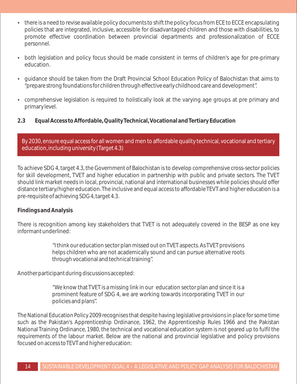- there is a need to revise available policy documents to shift the policy focus from ECE to ECCE encapsulating policies that are integrated, inclusive, accessible for disadvantaged children and those with disabilities, to promote effective coordination between provincial departments and professionalization of ECCE personnel.
- both legislation and policy focus should be made consistent in terms of children's age for pre-primary education.
- quidance should be taken from the Draft Provincial School Education Policy of Balochistan that aims to "prepare strong foundations for children through effective early childhood care and development".
- comprehensive legislation is required to holistically look at the varying age groups at pre primary and primary level.
- **2.3 Equal Access to Affordable, Quality Technical, Vocational and Tertiary Education**

By 2030, ensure equal access for all women and men to affordable quality technical, vocational and tertiary education, including university (Target 4.3)

To achieve SDG 4, target 4.3, the Government of Balochistan is to develop comprehensive cross-sector policies for skill development, TVET and higher education in partnership with public and private sectors. The TVET should link market needs in local, provincial, national and international businesses while policies should offer distance tertiary/higher education. The inclusive and equal access to affordable TEVT and higher education is a pre-requisite of achieving SDG 4, target 4.3.

#### **Findings and Analysis**

There is recognition among key stakeholders that TVET is not adequately covered in the BESP as one key informant underlined:

> "I think our education sector plan missed out on TVET aspects. As TVET provisions helps children who are not academically sound and can pursue alternative roots through vocational and technical training".

Another participant during discussions accepted:

"We know that TVET is a missing link in our education sector plan and since it is a prominent feature of SDG 4, we are working towards incorporating TVET in our policies and plans".

The National Education Policy 2009 recognises that despite having legislative provisions in place for some time such as the Pakistan's Apprenticeship Ordinance, 1962, the Apprenticeship Rules 1966 and the Pakistan National Training Ordinance, 1980, the technical and vocational education system is not geared up to fulfil the requirements of the labour market. Below are the national and provincial legislative and policy provisions focused on access to TEVT and higher education: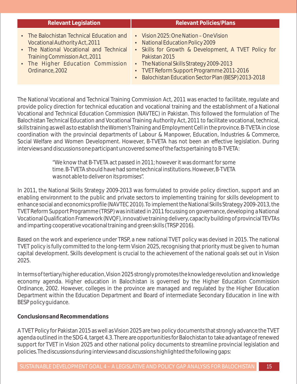| <b>Relevant Legislation</b>                                                                                                                                                                                     | <b>Relevant Policies/Plans</b>                                                                                                                                                                                                                                                                       |  |
|-----------------------------------------------------------------------------------------------------------------------------------------------------------------------------------------------------------------|------------------------------------------------------------------------------------------------------------------------------------------------------------------------------------------------------------------------------------------------------------------------------------------------------|--|
| • The Balochistan Technical Education and<br>Vocational Authority Act, 2011<br>• The National Vocational and Technical<br>Training Commission Act, 2011<br>• The Higher Education Commission<br>Ordinance, 2002 | • Vision 2025: One Nation - One Vision<br>• National Education Policy 2009<br>• Skills for Growth & Development, A TVET Policy for<br>Pakistan 2015<br>• The National Skills Strategy 2009-2013<br>• TVET Reform Support Programme 2011-2016<br>• Balochistan Education Sector Plan (BESP) 2013-2018 |  |

The National Vocational and Technical Training Commission Act, 2011 was enacted to facilitate, regulate and provide policy direction for technical education and vocational training and the establishment of a National Vocational and Technical Education Commission (NAVTEC) in Pakistan. This followed the formulation of The Balochistan Technical Education and Vocational Training Authority Act, 2011 to facilitate vocational, technical, skills training as well as to establish the Women's Training and Employment Cell in the province. B-TVETA in close coordination with the provincial departments of Labour & Manpower, Education, Industries & Commerce, Social Welfare and Women Development. However, B-TVETA has not been an effective legislation. During interviews and discussions one participant uncovered some of the facts pertaining to B-TVETA:

> "We know that B-TVETA act passed in 2011; however it was dormant for some time. B-TVETA should have had some technical institutions. However, B-TVETA was not able to deliver on its promises".

In 2011, the National Skills Strategy 2009-2013 was formulated to provide policy direction, support and an enabling environment to the public and private sectors to implementing training for skills development to enhance social and economics profile (NAVTEC 2010). To implement the National Skills Strategy 2009-2013, the TVET Reform Support Programme (TRSP) was initiated in 2011 focussing on governance, developing a National Vocational Qualification Framework (NVQF), innovative training delivery, capacity building of provincial TEVTAs and imparting cooperative vocational training and green skills (TRSP 2016).

Based on the work and experience under TRSP, a new national TVET policy was devised in 2015. The national TVET policy is fully committed to the long-term Vision 2025, recognising that priority must be given to human capital development. Skills development is crucial to the achievement of the national goals set out in Vision 2025.

In terms of tertiary/higher education, Vision 2025 strongly promotes the knowledge revolution and knowledge economy agenda. Higher education in Balochistan is governed by the Higher Education Commission Ordinance, 2002. However, colleges in the province are managed and regulated by the Higher Education Department within the Education Department and Board of intermediate Secondary Education in line with BESP policy guidance.

**Conclusions and Recommendations** 

A TVET Policy for Pakistan 2015 as well as Vision 2025 are two policy documents that strongly advance the TVET agenda outlined in the SDG 4, target 4.3. There are opportunities for Balochistan to take advantage of renewed support for TVET in Vision 2025 and other national policy documents to streamline provincial legislation and policies. The discussions during interviews and discussions highlighted the following gaps: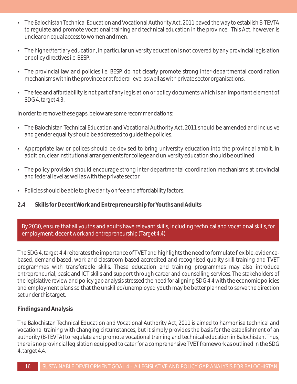- The Balochistan Technical Education and Vocational Authority Act, 2011 paved the way to establish B-TEVTA to regulate and promote vocational training and technical education in the province. This Act, however, is unclear on equal access to women and men.
- The higher/tertiary education, in particular university education is not covered by any provincial legislation or policy directives i.e. BESP.
- The provincial law and policies i.e. BESP, do not clearly promote strong inter-departmental coordination mechanisms within the province or at federal level as well as with private sector organisations.
- The fee and affordability is not part of any legislation or policy documents which is an important element of SDG 4, target 4.3.

In order to remove these gaps, below are some recommendations:

- The Balochistan Technical Education and Vocational Authority Act, 2011 should be amended and inclusive and gender equality should be addressed to guide the policies.
- Appropriate law or polices should be devised to bring university education into the provincial ambit. In addition, clear institutional arrangements for college and university education should be outlined.
- The policy provision should encourage strong inter-departmental coordination mechanisms at provincial and federal level as well as with the private sector.
- Policies should be able to give clarity on fee and affordability factors.
- **2.4 Skills for Decent Work and Entrepreneurship for Youths and Adults**

By 2030, ensure that all youths and adults have relevant skills, including technical and vocational skills, for employment, decent work and entrepreneurship (Target 4.4)

The SDG 4, target 4.4 reiterates the importance of TVET and highlights the need to formulate flexible, evidencebased, demand-based, work and classroom-based accredited and recognised quality skill training and TVET programmes with transferable skills. These education and training programmes may also introduce entrepreneurial, basic and ICT skills and support through career and counselling services. The stakeholders of the legislative review and policy gap analysis stressed the need for aligning SDG 4.4 with the economic policies and employment plans so that the unskilled/unemployed youth may be better planned to serve the direction set under this target.

#### **Findings and Analysis**

The Balochistan Technical Education and Vocational Authority Act, 2011 is aimed to harmonise technical and vocational training with changing circumstances, but it simply provides the basis for the establishment of an authority (B-TEVTA) to regulate and promote vocational training and technical education in Balochistan. Thus, there is no provincial legislation equipped to cater for a comprehensive TVET framework as outlined in the SDG 4, target 4.4.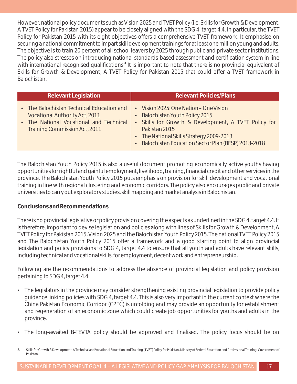However, national policy documents such as Vision 2025 and TVET Policy (i.e. Skills for Growth & Development, A TVET Policy for Pakistan 2015) appear to be closely aligned with the SDG 4, target 4.4. In particular, the TVET Policy for Pakistan 2015 with its eight objectives offers a comprehensive TVET framework. It emphasise on securing a national commitment to impart skill development trainings for at least one million young and adults. The objective is to train 20 percent of all school leavers by 2025 through public and private sector institutions. The policy also stresses on introducing national standards-based assessment and certification system in line with international recognised qualifications.<sup>3</sup> It is important to note that there is no provincial equivalent of Skills for Growth & Development, A TVET Policy for Pakistan 2015 that could offer a TVET framework in Balochistan.

| <b>Relevant Legislation</b>                                                                                                                             | <b>Relevant Policies/Plans</b>                                                                                                                                                                                                                         |
|---------------------------------------------------------------------------------------------------------------------------------------------------------|--------------------------------------------------------------------------------------------------------------------------------------------------------------------------------------------------------------------------------------------------------|
| • The Balochistan Technical Education and<br>Vocational Authority Act, 2011<br>• The National Vocational and Technical<br>Training Commission Act, 2011 | • Vision 2025: One Nation – One Vision<br>• Balochistan Youth Policy 2015<br>• Skills for Growth & Development, A TVET Policy for<br>Pakistan 2015<br>• The National Skills Strategy 2009-2013<br>• Balochistan Education Sector Plan (BESP) 2013-2018 |

The Balochistan Youth Policy 2015 is also a useful document promoting economically active youths having opportunities for rightful and gainful employment, livelihood, training, financial credit and other services in the province. The Balochistan Youth Policy 2015 puts emphasis on provision for skill development and vocational training in line with regional clustering and economic corridors. The policy also encourages public and private universities to carry out exploratory studies, skill mapping and market analysis in Balochistan.

#### **Conclusions and Recommendations**

There is no provincial legislative or policy provision covering the aspects as underlined in the SDG 4, target 4.4. It is therefore, important to devise legislation and policies along with lines of Skills for Growth & Development, A TVET Policy for Pakistan 2015, Vision 2025 and the Balochistan Youth Policy 2015. The national TVET Policy 2015 and The Balochistan Youth Policy 2015 offer a framework and a good starting point to align provincial legislation and policy provisions to SDG 4, target 4.4 to ensure that all youth and adults have relevant skills, including technical and vocational skills, for employment, decent work and entrepreneurship.

Following are the recommendations to address the absence of provincial legislation and policy provision pertaining to SDG 4, target 4.4:

- The legislators in the province may consider strengthening existing provincial legislation to provide policy guidance linking policies with SDG 4, target 4.4. This is also very important in the current context where the China Pakistan Economic Corridor (CPEC) is unfolding and may provide an opportunity for establishment and regeneration of an economic zone which could create job opportunities for youths and adults in the province.
- The long-awaited B-TEVTA policy should be approved and finalised. The policy focus should be on

<sup>3.</sup> Skills for Growth & Development: A Technical and Vocational Education and Training (TVET) Policy for Pakistan, Ministry of Federal Education and Professional Training, Government of Pakistan.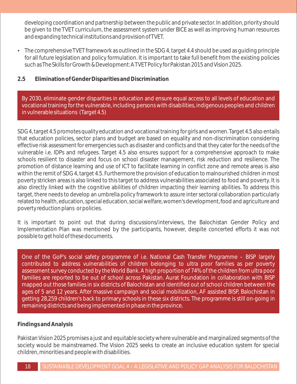developing coordination and partnership between the public and private sector. In addition, priority should be given to the TVET curriculum, the assessment system under BICE as well as improving human resources and expanding technical institutions and provision of TVET.

- The comprehensive TVET framework as outlined in the SDG 4, target 4.4 should be used as guiding principle for all future legislation and policy formulation. It is important to take full benefit from the existing policies such as The Skills for Growth & Development: A TVET Policy for Pakistan 2015 and Vision 2025.
- **2.5 Elimination of Gender Disparities and Discrimination**

By 2030, eliminate gender disparities in education and ensure equal access to all levels of education and vocational training for the vulnerable, including persons with disabilities, indigenous peoples and children in vulnerable situations (Target 4.5)

SDG 4, target 4.5 promotes quality education and vocational training for girls and women. Target 4.5 also entails that education policies, sector plans and budget are based on equality and non-discrimination considering effective risk assessment for emergencies such as disaster and conflicts and that they cater for the needs of the vulnerable i.e. IDPs and refugees. Target 4.5 also ensures support for a comprehensive approach to make schools resilient to disaster and focus on school disaster management, risk reduction and resilience. The promotion of distance learning and use of ICT to facilitate learning in conflict zone and remote areas is also within the remit of SDG 4, target 4.5. Furthermore the provision of education to malnourished children in most poverty stricken areas is also linked to this target to address vulnerabilities associated to food and poverty. It is also directly linked with the cognitive abilities of children impacting their learning abilities. To address this target, there needs to develop an umbrella policy framework to assure inter sectoral collaboration particularly related to health, education, special education, social welfare, women's development, food and agriculture and poverty reduction plans or policies.

It is important to point out that during discussions/interviews, the Balochistan Gender Policy and Implementation Plan was mentioned by the participants, however, despite concerted efforts it was not possible to get hold of these documents.

One of the GoP's social safety programme of i.e. National Cash Transfer Programme - BISP largely contributed to address vulnerabilities of children belonging to ultra poor families as per poverty assessment survey conducted by the World Bank. A high proportion of 74% of the children from ultra poor families are reported to be out of school across Pakistan. Aurat Foundation in collaboration with BISP mapped out those families in six districts of Balochistan and identified out of school children between the ages of 5 and 12 years. After massive campaign and social mobilization, AF assisted BISP, Balochistan in getting 28,259 children's back to primary schools in these six districts. The programme is still on-going in remaining districts and being implemented in phase in the province.

#### **Findings and Analysis**

Pakistan Vision 2025 promises a just and equitable society where vulnerable and marginalized segments of the society would be mainstreamed. The Vision 2025 seeks to create an inclusive education system for special children, minorities and people with disabilities.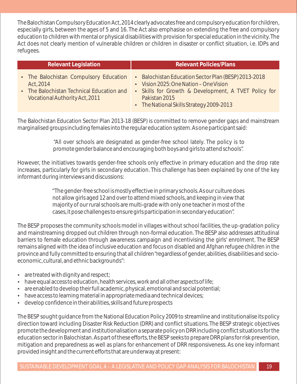The Balochistan Compulsory Education Act, 2014 clearly advocates free and compulsory education for children, especially girls, between the ages of 5 and 16. The Act also emphasise on extending the free and compulsory education to children with mental or physical disabilities with provision for special education in the vicinity. The Act does not clearly mention of vulnerable children or children in disaster or conflict situation, i.e. IDPs and refugees.

| <b>Relevant Legislation</b>                                                                                                        | <b>Relevant Policies/Plans</b>                                                                                                                                                                                      |  |
|------------------------------------------------------------------------------------------------------------------------------------|---------------------------------------------------------------------------------------------------------------------------------------------------------------------------------------------------------------------|--|
| • The Balochistan Compulsory Education<br>Act, 2014<br>• The Balochistan Technical Education and<br>Vocational Authority Act, 2011 | • Balochistan Education Sector Plan (BESP) 2013-2018<br>• Vision 2025: One Nation – One Vision<br>• Skills for Growth & Development, A TVET Policy for<br>Pakistan 2015<br>• The National Skills Strategy 2009-2013 |  |
|                                                                                                                                    |                                                                                                                                                                                                                     |  |

The Balochistan Education Sector Plan 2013-18 (BESP) is committed to remove gender gaps and mainstream marginalised groups including females into the regular education system. As one participant said:

> "All over schools are designated as gender-free school lately. The policy is to promote gender balance and encouraging both boys and girls to attend schools".

However, the initiatives towards gender-free schools only effective in primary education and the drop rate increases, particularly for girls in secondary education. This challenge has been explained by one of the key informant during interviews and discussions:

> "The gender-free school is mostly effective in primary schools. As our culture does not allow girls aged 12 and over to attend mixed schools, and keeping in view that majority of our rural schools are multi-grade with only one teacher in most of the cases, it pose challenges to ensure girls participation in secondary education".

The BESP proposes the community schools model in villages without school facilities, the up-gradation policy and mainstreaming dropped out children through non-formal education. The BESP also addresses attitudinal barriers to female education through awareness campaign and incentivising the girls' enrolment. The BESP remains aligned with the idea of inclusive education and focus on disabled and Afghan refugee children in the province and fully committed to ensuring that all children "regardless of gender, abilities, disabilities and socioeconomic, cultural, and ethnic backgrounds":

- $\bullet$  are treated with dignity and respect;
- have equal access to education, health services, work and all other aspects of life;
- are enabled to develop their full academic, physical, emotional and social potential;
- have access to learning material in appropriate media and technical devices;
- develop confidence in their abilities, skills and future prospects

The BESP sought guidance from the National Education Policy 2009 to streamline and institutionalise its policy direction toward including Disaster Risk Reduction (DRR) and conflict situations. The BESP strategic objectives promote the development and institutionalisation a separate policy on DRR including conflict situations for the education sector in Balochistan. As part of these efforts, the BESP seeks to prepare DRR plans for risk prevention, mitigation and preparedness as well as plans for enhancement of DRR responsiveness. As one key informant provided insight and the current efforts that are underway at present: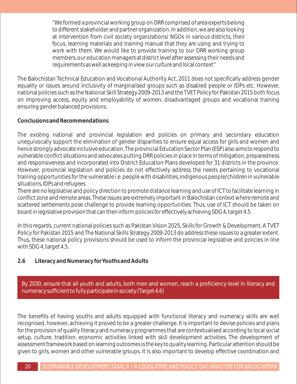"We formed a provincial working group on DRR comprised of area experts belong to different stakeholder and partner organization. In addition, we are also looking at intervention from civil society organizations/ NGOs in various districts, their focus, learning materials and training manual that they are using and trying to work with them. We would like to provide training to our DRR working group members, our education managers at district level after assessing their needs and requirements as well as keeping in view our culture and local context"

The Balochistan Technical Education and Vocational Authority Act, 2011 does not specifically address gender equality or issues around inclusivity of marginalised groups such as disabled people or IDPs etc. However, national policies such as the National Skill Strategy 2009-2013 and the TVET Policy for Pakistan 2015 both focus on improving access, equity and employability of women, disadvantaged groups and vocational training ensuring gender balanced provisions.

#### **Conclusions and Recommendations**

The existing national and provincial legislation and policies on primary and secondary education unequivocally support the elimination of gender disparities to ensure equal access for girls and women and hence strongly advocate inclusive education. The provincial Education Sector Plan (ESP) also aims to respond to vulnerable conflict situations and advocates putting DRR policies in place in terms of mitigation, preparedness and responsiveness and incorporated into District Education Plans developed for 31 districts in the province. However, provincial legislation and policies do not effectively address the needs pertaining to vocational training opportunities for the vulnerable i.e. people with disabilities, indigenous people/children in vulnerable situations, IDPs and refugees.

There are no legislative and policy direction to promote distance learning and use of ICT to facilitate learning in conflict zone and remote areas. These issues are extremely important in Balochistan context where remote and scattered settlements pose challenge to provide learning opportunities. Thus, use of ICT should be taken on board in legislative provision that can then inform policies for effectively achieving SDG 4, target 4.5.

In this regards, current national policies such as Pakistan Vision 2025, Skills for Growth & Development, A TVET Policy for Pakistan 2015 and The National Skills Strategy 2009-2013 do address these issues to a greater extent. Thus, these national policy provisions should be used to inform the provincial legislative and policies in line with SDG 4, target 4.5.

#### **2.6 Literacy and Numeracy for Youths and Adults**

By 2030, ensure that all youth and adults, both men and women, reach a proficiency level in literacy and numeracy sufficient to fully participate in society (Target 4.6)

The benefits of having youths and adults equipped with functional literacy and numeracy skills are well recognised, however, achieving it proved to be a greater challenge. It is important to devise policies and plans for the provision of quality literacy and numeracy programmes that are contextualised according to local social setup, culture, tradition, economic activities linked with skill development activities. The development of assessment framework based on learning outcomes is the key to quality learning. Particular attention should be given to girls, women and other vulnerable groups. It is also important to develop effective coordination and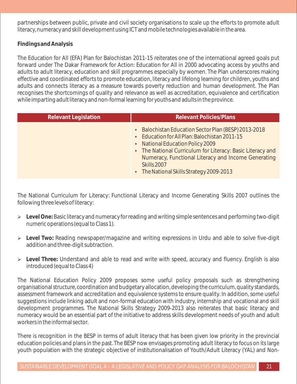partnerships between public, private and civil society organisations to scale up the efforts to promote adult literacy, numeracy and skill development using ICT and mobile technologies available in the area.

**Findings and Analysis**

The Education for All (EFA) Plan for Balochistan 2011-15 reiterates one of the international agreed goals put forward under The Dakar Framework for Action: Education for All in 2000 advocating access by youths and adults to adult literacy, education and skill programmes especially by women. The Plan underscores making effective and coordinated efforts to promote education, literacy and lifelong learning for children, youths and adults and connects literacy as a measure towards poverty reduction and human development. The Plan recognises the shortcomings of quality and relevance as well as accreditation, equivalence and certification while imparting adult literacy and non-formal learning for youths and adults in the province.

| <b>Relevant Legislation</b> | <b>Relevant Policies/Plans</b>                                                                                                                                                                                                                                                                                            |  |
|-----------------------------|---------------------------------------------------------------------------------------------------------------------------------------------------------------------------------------------------------------------------------------------------------------------------------------------------------------------------|--|
|                             | • Balochistan Education Sector Plan (BESP) 2013-2018<br>• Education for All Plan: Balochistan 2011-15<br>• National Education Policy 2009<br>• The National Curriculum for Literacy: Basic Literacy and<br>Numeracy, Functional Literacy and Income Generating<br>Skills 2007<br>• The National Skills Strategy 2009-2013 |  |

The National Curriculum for Literacy: Functional Literacy and Income Generating Skills 2007 outlines the following three levels of literacy:

- Ø **Level One:** Basic literacy and numeracy for reading and writing simple sentences and performing two-digit numeric operations (equal to Class 1).
- Ø **Level Two:** Reading newspaper/magazine and writing expressions in Urdu and able to solve five-digit addition and three-digit subtraction.
- Ø **Level Three:** Understand and able to read and write with speed, accuracy and fluency. English is also introduced (equal to Class 4)

The National Education Policy 2009 proposes some useful policy proposals such as strengthening organisational structure, coordination and budgetary allocation, developing the curriculum, quality standards, assessment framework and accreditation and equivalence systems to ensure quality. In addition, some useful suggestions include linking adult and non-formal education with industry, internship and vocational and skill development programmes. The National Skills Strategy 2009-2013 also reiterates that basic literacy and numeracy would be an essential part of the initiative to address skills development needs of youth and adult workers in the informal sector.

There is recognition in the BESP in terms of adult literacy that has been given low priority in the provincial education policies and plans in the past. The BESP now envisages promoting adult literacy to focus on its large youth population with the strategic objective of institutionalisation of Youth/Adult Literacy (YAL) and Non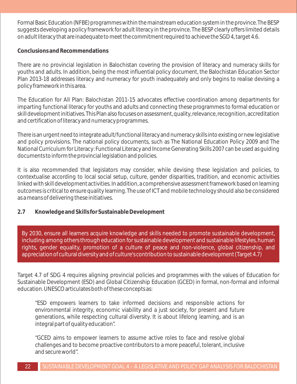Formal Basic Education (NFBE) programmes within the mainstream education system in the province. The BESP suggests developing a policy framework for adult literacy in the province. The BESP clearly offers limited details on adult literacy that are inadequate to meet the commitment required to achieve the SGD 4, target 4.6.

#### **Conclusions and Recommendations**

There are no provincial legislation in Balochistan covering the provision of literacy and numeracy skills for youths and adults. In addition, being the most influential policy document, the Balochistan Education Sector Plan 2013-18 addresses literacy and numeracy for youth inadequately and only begins to realise devising a policy framework in this area.

The Education for All Plan: Balochistan 2011-15 advocates effective coordination among departments for imparting functional literacy for youths and adults and connecting these programmes to formal education or skill development initiatives. This Plan also focuses on assessment, quality, relevance, recognition, accreditation and certification of literacy and numeracy programmes.

There is an urgent need to integrate adult/functional literacy and numeracy skills into existing or new legislative and policy provisions. The national policy documents, such as The National Education Policy 2009 and The National Curriculum for Literacy: Functional Literacy and Income Generating Skills 2007 can be used as guiding documents to inform the provincial legislation and policies.

It is also recommended that legislators may consider, while devising these legislation and policies, to contextualise according to local social setup, culture, gender disparities, tradition, and economic activities linked with skill development activities. In addition, a comprehensive assessment framework based on learning outcomes is critical to ensure quality learning. The use of ICT and mobile technology should also be considered as a means of delivering these initiatives.

**2.7 Knowledge and Skills for Sustainable Development** 

By 2030, ensure all learners acquire knowledge and skills needed to promote sustainable development, including among others through education for sustainable development and sustainable lifestyles, human rights, gender equality, promotion of a culture of peace and non-violence, global citizenship, and appreciation of cultural diversity and of culture's contribution to sustainable development (Target 4.7)

Target 4.7 of SDG 4 requires aligning provincial policies and programmes with the values of Education for Sustainable Development (ESD) and Global Citizenship Education (GCED) in formal, non-formal and informal education. UNESCO articulates both of these concepts as:

"ESD empowers learners to take informed decisions and responsible actions for environmental integrity, economic viability and a just society, for present and future generations, while respecting cultural diversity. It is about lifelong learning, and is an integral part of quality education".

"GCED aims to empower learners to assume active roles to face and resolve global challenges and to become proactive contributors to a more peaceful, tolerant, inclusive and secure world".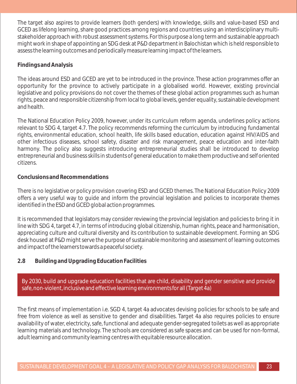The target also aspires to provide learners (both genders) with knowledge, skills and value-based ESD and GCED as lifelong learning, share good practices among regions and countries using an interdisciplinary multistakeholder approach with robust assessment systems. For this purpose a long term and sustainable approach might work in shape of appointing an SDG desk at P&D department in Balochistan which is held responsible to assess the learning outcomes and periodically measure learning impact of the learners.

#### **Findings and Analysis**

The ideas around ESD and GCED are yet to be introduced in the province. These action programmes offer an opportunity for the province to actively participate in a globalised world. However, existing provincial legislative and policy provisions do not cover the themes of these global action programmes such as human rights, peace and responsible citizenship from local to global levels, gender equality, sustainable development and health.

The National Education Policy 2009, however, under its curriculum reform agenda, underlines policy actions relevant to SDG 4, target 4.7. The policy recommends reforming the curriculum by introducing fundamental rights, environmental education, school health, life skills based education, education against HIV/AIDS and other infectious diseases, school safety, disaster and risk management, peace education and inter-faith harmony. The policy also suggests introducing entrepreneurial studies shall be introduced to develop entrepreneurial and business skills in students of general education to make them productive and self oriented citizens.

#### **Conclusions and Recommendations**

There is no legislative or policy provision covering ESD and GCED themes. The National Education Policy 2009 offers a very useful way to guide and inform the provincial legislation and policies to incorporate themes identified in the ESD and GCED global action programmes.

It is recommended that legislators may consider reviewing the provincial legislation and policies to bring it in line with SDG 4, target 4.7, in terms of introducing global citizenship, human rights, peace and harmonisation, appreciating culture and cultural diversity and its contribution to sustainable development. Forming an SDG desk housed at P&D might serve the purpose of sustainable monitoring and assessment of learning outcomes and impact of the learners towards a peaceful society.

#### **2.8 Building and Upgrading Education Facilities**

By 2030, build and upgrade education facilities that are child, disability and gender sensitive and provide safe, non-violent, inclusive and effective learning environments for all (Target 4a)

The first means of implementation i.e. SGD 4, target 4a advocates devising policies for schools to be safe and free from violence as well as sensitive to gender and disabilities. Target 4a also requires policies to ensure availability of water, electricity, safe, functional and adequate gender-segregated toilets as well as appropriate learning materials and technology. The schools are considered as safe spaces and can be used for non-formal, adult learning and community learning centres with equitable resource allocation.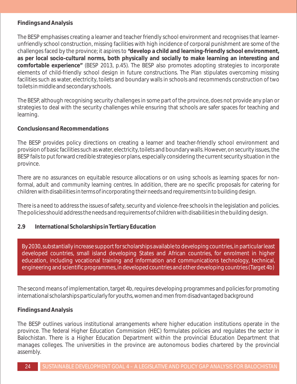#### **Findings and Analysis**

The BESP emphasises creating a learner and teacher friendly school environment and recognises that learnerunfriendly school construction, missing facilities with high incidence of corporal punishment are some of the challenges faced by the province; it aspires to **"develop a child and learning-friendly school environment, as per local socio-cultural norms, both physically and socially to make learning an interesting and comfortable experience"** (BESP 2013, p.45). The BESP also promotes adopting strategies to incorporate elements of child-friendly school design in future constructions. The Plan stipulates overcoming missing facilities such as water, electricity, toilets and boundary walls in schools and recommends construction of two toilets in middle and secondary schools.

The BESP, although recognising security challenges in some part of the province, does not provide any plan or strategies to deal with the security challenges while ensuring that schools are safer spaces for teaching and learning.

#### **Conclusions and Recommendations**

The BESP provides policy directions on creating a learner and teacher-friendly school environment and provision of basic facilities such as water, electricity, toilets and boundary walls. However, on security issues, the BESP fails to put forward credible strategies or plans, especially considering the current security situation in the province.

There are no assurances on equitable resource allocations or on using schools as learning spaces for nonformal, adult and community learning centres. In addition, there are no specific proposals for catering for children with disabilities in terms of incorporating their needs and requirements in to building design.

There is a need to address the issues of safety, security and violence-free schools in the legislation and policies. The policies should address the needs and requirements of children with disabilities in the building design.

#### **2.9 International Scholarships in Tertiary Education**

By 2030, substantially increase support for scholarships available to developing countries, in particular least developed countries, small island developing States and African countries, for enrolment in higher education, including vocational training and information and communications technology, technical, engineering and scientific programmes, in developed countries and other developing countries (Target 4b)

The second means of implementation, target 4b, requires developing programmes and policies for promoting international scholarships particularly for youths, women and men from disadvantaged background

#### **Findings and Analysis**

The BESP outlines various institutional arrangements where higher education institutions operate in the province. The federal Higher Education Commission (HEC) formulates policies and regulates the sector in Balochistan. There is a Higher Education Department within the provincial Education Department that manages colleges. The universities in the province are autonomous bodies chartered by the provincial assembly.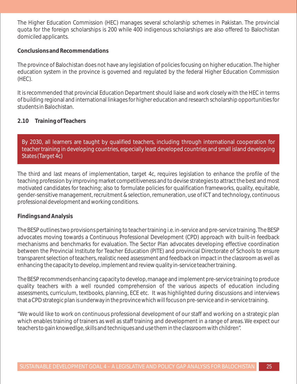The Higher Education Commission (HEC) manages several scholarship schemes in Pakistan. The provincial quota for the foreign scholarships is 200 while 400 indigenous scholarships are also offered to Balochistan domiciled applicants.

**Conclusions and Recommendations** 

The province of Balochistan does not have any legislation of policies focusing on higher education. The higher education system in the province is governed and regulated by the federal Higher Education Commission (HEC).

It is recommended that provincial Education Department should liaise and work closely with the HEC in terms of building regional and international linkages for higher education and research scholarship opportunities for students in Balochistan.

#### **2.10 Training of Teachers**

By 2030, all learners are taught by qualified teachers, including through international cooperation for teacher training in developing countries, especially least developed countries and small island developing States (Target 4c)

The third and last means of implementation, target 4c, requires legislation to enhance the profile of the teaching profession by improving market competitiveness and to devise strategies to attract the best and most motivated candidates for teaching; also to formulate policies for qualification frameworks, quality, equitable, gender-sensitive management, recruitment & selection, remuneration, use of ICT and technology, continuous professional development and working conditions.

#### **Findings and Analysis**

The BESP outlines two provisions pertaining to teacher training i.e. in-service and pre-service training. The BESP advocates moving towards a Continuous Professional Development (CPD) approach with built-in feedback mechanisms and benchmarks for evaluation. The Sector Plan advocates developing effective coordination between the Provincial Institute for Teacher Education (PITE) and provincial Directorate of Schools to ensure transparent selection of teachers, realistic need assessment and feedback on impact in the classroom as well as enhancing the capacity to develop, implement and review quality in-service teacher training.

The BESP recommends enhancing capacity to develop, manage and implement pre-service training to produce quality teachers with a well rounded comprehension of the various aspects of education including assessments, curriculum, textbooks, planning, ECE etc. It was highlighted during discussions and interviews that a CPD strategic plan is underway in the province which will focus on pre-service and in-service training.

"We would like to work on continuous professional development of our staff and working on a strategic plan which enables training of trainers as well as staff training and development in a range of areas. We expect our teachers to gain knowedlge, skills and techniques and use them in the classroom with children".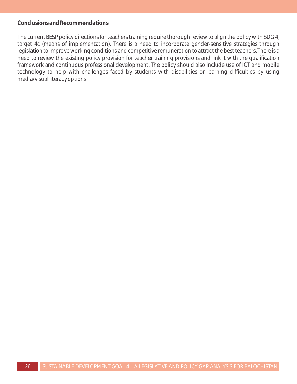#### **Conclusions and Recommendations**

The current BESP policy directions for teachers training require thorough review to align the policy with SDG 4, target 4c (means of implementation). There is a need to incorporate gender-sensitive strategies through legislation to improve working conditions and competitive remuneration to attract the best teachers. There is a need to review the existing policy provision for teacher training provisions and link it with the qualification framework and continuous professional development. The policy should also include use of ICT and mobile technology to help with challenges faced by students with disabilities or learning difficulties by using media/visual literacy options.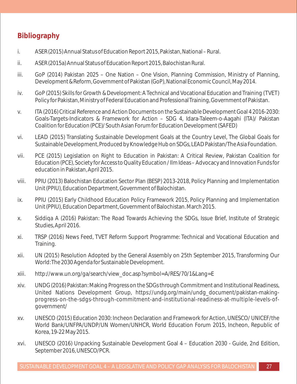## **Bibliography**

- i. ASER (2015) Annual Status of Education Report 2015, Pakistan, National Rural.
- ii. ASER (2015a) Annual Status of Education Report 2015, Balochistan Rural.
- iii. GoP (2014) Pakistan 2025 One Nation One Vision, Planning Commission, Ministry of Planning, Development & Reform, Government of Pakistan (GoP), National Economic Council, May 2014.
- iv. GoP (2015) Skills for Growth & Development: A Technical and Vocational Education and Training (TVET) Policy for Pakistan, Ministry of Federal Education and Professional Training, Government of Pakistan.
- v. ITA (2016) Critical Reference and Action Documents on the Sustainable Development Goal 4 2016-2030: Goals-Targets-Indicators & Framework for Action – SDG 4, Idara-Taleem-o-Aagahi (ITA)/ Pakistan Coalition for Education (PCE)/ South Asian Forum for Education Development (SAFED)
- vi. LEAD (2015) Translating Sustainable Development Goals at the Country Level, The Global Goals for Sustainable Development, Produced by Knowledge Hub on SDGs, LEAD Pakistan/The Asia Foundation.
- vii. PCE (2015) Legislation on Right to Education in Pakistan: A Critical Review, Pakistan Coalition for Education (PCE), Society for Access to Quality Education / Ilm Ideas – Advocacy and Innovation Funds for education in Pakistan, April 2015.
- viii. PPIU (2013) Balochistan Education Sector Plan (BESP) 2013-2018, Policy Planning and Implementation Unit (PPIU), Education Department, Government of Balochistan.
- ix. PPIU (2015) Early Childhood Education Policy Framework 2015, Policy Planning and Implementation Unit (PPIU), Education Department, Government of Balochistan. March 2015.
- x. Siddiqa A (2016) Pakistan: The Road Towards Achieving the SDGs, Issue Brief, Institute of Strategic Studies, April 2016.
- xi. TRSP (2016) News Feed, TVET Reform Support Programme: Technical and Vocational Education and Training.
- xii. UN (2015) Resolution Adopted by the General Assembly on 25th September 2015, Transforming Our World: The 2030 Agenda for Sustainable Development.
- xiii. http://www.un.org/ga/search/view\_doc.asp?symbol=A/RES/70/1&Lang=E
- xiv. UNDG (2016) Pakistan: Making Progress on the SDGs through Commitment and Institutional Readiness, United Nations Development Group, https://undg.org/main/undg\_document/pakistan-makingprogress-on-the-sdgs-through-commitment-and-institutional-readiness-at-multiple-levels-ofgovernment/
- xv. UNESCO (2015) Education 2030: Incheon Declaration and Framework for Action, UNESCO/ UNICEF/the World Bank/UNFPA/UNDP/UN Women/UNHCR, World Education Forum 2015, Incheon, Republic of Korea, 19-22 May 2015.
- xvi. UNESCO (2016) Unpacking Sustainable Development Goal 4 Education 2030 Guide, 2nd Edition, September 2016, UNESCO/PCR.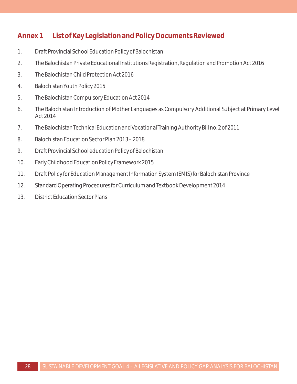## **Annex 1 List of Key Legislation and Policy Documents Reviewed**

- 1. Draft Provincial School Education Policy of Balochistan
- 2. The Balochistan Private Educational Institutions Registration, Regulation and Promotion Act 2016
- 3. The Balochistan Child Protection Act 2016
- 4. Balochistan Youth Policy 2015
- 5. The Balochistan Compulsory Education Act 2014
- 6. The Balochistan Introduction of Mother Languages as Compulsory Additional Subject at Primary Level Act 2014
- 7. The Balochistan Technical Education and Vocational Training Authority Bill no. 2 of 2011
- 8. Balochistan Education Sector Plan 2013 2018
- 9. Draft Provincial School education Policy of Balochistan
- 10. Early Childhood Education Policy Framework 2015
- 11. Draft Policy for Education Management Information System (EMIS) for Balochistan Province
- 12. Standard Operating Procedures for Curriculum and Textbook Development 2014
- 13. District Education Sector Plans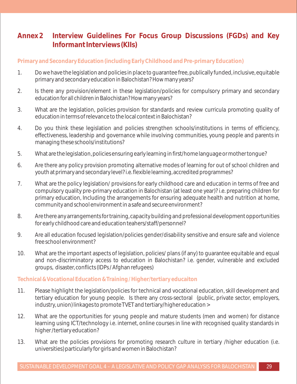## **Annex 2 Interview Guidelines For Focus Group Discussions (FGDs) and Key Informant Interviews (KIIs)**

#### **Primary and Secondary Education (including Early Childhood and Pre-primary Education)**

- 1. Do we have the legislation and policies in place to guarantee free, publically funded, inclusive, equitable primary and secondary education in Balochistan? How many years?
- 2. Is there any provision/element in these legislation/policies for compulsory primary and secondary education for all children in Balochistan? How many years?
- 3. What are the legislation, policies provision for standards and review curricula promoting quality of education in terms of relevance to the local context in Balochistan?
- 4. Do you think these legislation and policies strengthen schools/institutions in terms of efficiency, effectiveness, leadership and governance while involving communities, young people and parents in managing these schools/institutions?
- 5. What are the legislation, policies ensuring early learning in first/home language or mother tongue?
- 6. Are there any policy provision promoting alternative modes of learning for out of school children and youth at primary and secondary level? i.e. flexible learning, accredited programmes?
- 7. What are the policy legislation/ provisions for early childhood care and education in terms of free and compulsory quality pre-primary education in Balochistan (at least one year)? i.e. preparing children for primary education, Including the arrangements for ensuring adequate health and nutrition at home, community and school environment in a safe and secure environment?
- 8. Are there any arrangements for training, capacity building and professional development opportunities for early childhood care and education teahers/staff/personnel?
- 9. Are all education focused legislation/policies gender/disability sensitive and ensure safe and violence free school environment?
- 10. What are the important aspects of legislation, policies/ plans (if any) to guarantee equitable and equal and non-discriminatory access to education in Balochistan? i.e. gender, vulnerable and excluded groups, disaster, conflicts (IDPs / Afghan refugees)

#### **Technical & Vocational Education & Training / Higher/tertiary educaiton**

- 11. Please highlight the legislation/policies for technical and vocational education, skill development and tertiary education for young people. Is there any cross-sectoral (public, private sector, employers, industry, union) linkages to promote TVET and tertiary/higher education >
- 12. What are the opportunities for young people and mature students (men and women) for distance learning using ICT/technology i.e. internet, online courses in line with recognised quality standards in higher /tertiary education?
- 13. What are the policies provisions for promoting research culture in tertiary /higher education (i.e. universities) particularly for girls and women in Balochistan?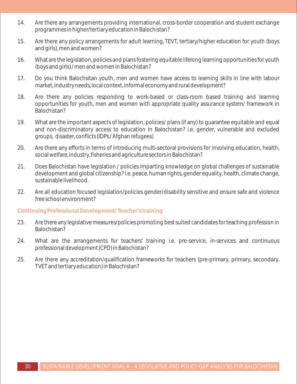- 14. Are there any arrangements providing international, cross-border cooperation and student exchange programmes in higher/tertiary education in Balochistan?
- 15. Are there any policy arrangements for adult learning, TEVT, tertiary/higher education for youth (boys and girls), men and women?
- 16. What are the legislation, policies and plans fostering equitable lifelong learning opportunities for youth (boys and girls) / men and women in Balochistan?
- 17. Do you think Balochsitan youth, men and women have access to learning skills in line with labour market, industry needs, local context, informal economy and rural development?
- 18. Are there any policies responding to work-based or class-room based training and learning opportunities for youth, men and women with appropriate quality assurance system/ framework in Balochistan?
- 19. What are the important aspects of legislation, policies/ plans (if any) to guarantee equitable and equal and non-discriminatory access to education in Balochistan? i.e. gender, vulnerable and excluded groups, disaster, conflicts (IDPs / Afghan refugees)
- 20. Are there any efforts in terms of introducing multi-sectoral provisions for involving education, health, social welfare, industry, fisheries and agriculture sectors in Balochistan?
- 21. Does Balochistan have legislation / policies imparting knowledge on global challenges of sustainable development and global citizenship? i.e. peace, human rights, gender equality, health, climate change, sustainable livelihood.
- 22. Are all education focused legislation/policies gender/disability sensitive and ensure safe and violence free school environment?

#### **Continuing Professional Development/ Teacher's training**

- 23. Are there any legislative measures/policies promoting best suited candidates for teaching profession in Balochistan?
- 24. What are the arrangements for teachers' training i.e. pre-service, in-services and continuous professional development (CPD) in Balochistan?
- 25. Are there any accreditation/qualification frameworks for teachers (pre-primary, primary, secondary, TVET and tertiary education) in Balochistan?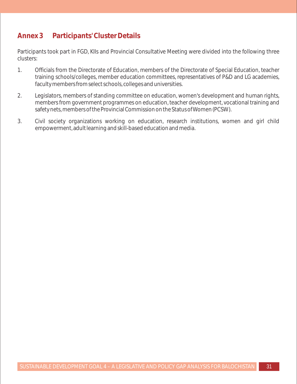## **Annex 3 Participants' Cluster Details**

Participants took part in FGD, KIIs and Provincial Consultative Meeting were divided into the following three clusters:

- 1. Officials from the Directorate of Education, members of the Directorate of Special Education, teacher training schools/colleges, member education committees, representatives of P&D and LG academies, faculty members from select schools, colleges and universities.
- 2. Legislators, members of standing committee on education, women's development and human rights, members from government programmes on education, teacher development, vocational training and safety nets, members of the Provincial Commission on the Status of Women (PCSW).
- 3. Civil society organizations working on education, research institutions, women and girl child empowerment, adult learning and skill-based education and media.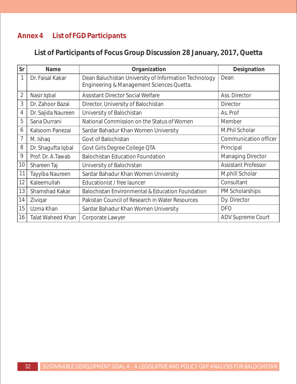## **Annex 4 List of FGD Participants**

**List of Participants of Focus Group Discussion 28 January, 2017, Quetta**

| Sr             | Name                     | Organization                                                                                       | Designation                |
|----------------|--------------------------|----------------------------------------------------------------------------------------------------|----------------------------|
|                | Dr. Faisal Kakar         | Dean Baluchistan University of Information Technology<br>Engineering & Management Sciences Quetta. | Dean                       |
| $\overline{2}$ | Nasir Iqbal              | <b>Assistant Director Social Welfare</b>                                                           | Ass. Director              |
| 3              | Dr. Zahoor Bazai         | Director, University of Balochistan                                                                | <b>Director</b>            |
| 4              | Dr. Sajida Naureen       | University of Balochistan                                                                          | As. Prof                   |
| 5              | Sana Durrani             | National Commission on the Status of Women                                                         | Member                     |
| 6              | Kalsoom Panezai          | Sardar Bahadur Khan Women University                                                               | M.Phil Scholar             |
| 7              | M. Ishaq                 | Govt of Balochistan                                                                                | Communication officer      |
| 8              | Dr. Shagufta Iqbal       | Govt Girls Degree College QTA                                                                      | Principal                  |
| 9              | Prof. Dr. A.Tawab        | <b>Balochistan Education Foundation</b>                                                            | <b>Managing Director</b>   |
| 10             | Shareen Taj              | University of Balochistan                                                                          | <b>Assistant Professor</b> |
| 11             | Tayyiba Naureen          | Sardar Bahadur Khan Women University                                                               | M.phill Scholar            |
| 12             | Kaleemullah              | Educationist / free launcer                                                                        | Consultant                 |
| 13             | Shamshad Kakar           | <b>Balochistan Environmental &amp; Education Foundation</b>                                        | PM Scholarships            |
| 14             | Zivigar                  | Pakistan Council of Research in Water Resources                                                    | Dy. Director               |
| 15             | Uzma Khan                | Sardar Bahadur Khan Women University                                                               | <b>DFO</b>                 |
| 16             | <b>Talat Waheed Khan</b> | Corporate Lawyer                                                                                   | ADV Supreme Court          |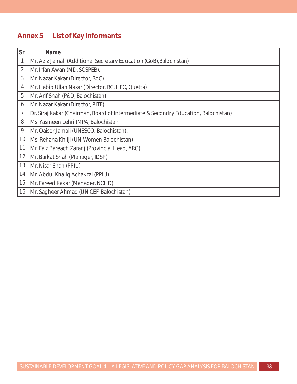## **Annex 5 List of Key Informants**

| Sr             | Name                                                                                |
|----------------|-------------------------------------------------------------------------------------|
| $\mathbf{1}$   | Mr. Aziz Jamali (Additional Secretary Education (GoB), Balochistan)                 |
| $\overline{2}$ | Mr. Irfan Awan (MD, SCSPEB),                                                        |
| 3              | Mr. Nazar Kakar (Director, BoC)                                                     |
| 4              | Mr. Habib Ullah Nasar (Director, RC, HEC, Quetta)                                   |
| 5              | Mr. Arif Shah (P&D, Balochistan)                                                    |
| 6              | Mr. Nazar Kakar (Director, PITE)                                                    |
| $\overline{7}$ | Dr. Siraj Kakar (Chairman, Board of Intermediate & Secondry Education, Balochistan) |
| 8              | Ms. Yasmeen Lehri (MPA, Balochistan                                                 |
| 9              | Mr. Qaiser Jamali (UNESCO, Balochistan),                                            |
| 10             | Ms. Rehana Khilji (UN-Women Balochistan)                                            |
| 11             | Mr. Faiz Bareach Zaranj (Provincial Head, ARC)                                      |
| 12             | Mr. Barkat Shah (Manager, IDSP)                                                     |
| 13             | Mr. Nisar Shah (PPIU)                                                               |
| 14             | Mr. Abdul Khaliq Achakzai (PPIU)                                                    |
| 15             | Mr. Fareed Kakar (Manager, NCHD)                                                    |
| 16             | Mr. Sagheer Ahmad (UNICEF, Balochistan)                                             |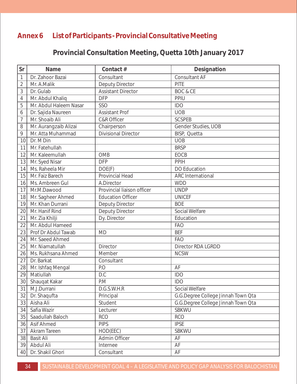## **Annex 6 List of Participants - Provincial Consultative Meeting**

**Provincial Consultation Meeting, Quetta 10th January 2017**

| Sr             | Name                   | Contact #                  | Designation                        |
|----------------|------------------------|----------------------------|------------------------------------|
| $\mathbf 1$    | Dr. Zahoor Bazai       | Consultant                 | Consultant AF                      |
| $\overline{2}$ | Mr. A.Malik            | <b>Deputy Director</b>     | PITE                               |
| 3              | Dr. Gulab              | <b>Assistant Director</b>  | <b>BOC &amp; CE</b>                |
| $\overline{4}$ | Mr. Abdul Khaliq       | <b>DFP</b>                 | PPIU                               |
| 5              | Mr. Abdul Haleem Nasar | <b>SSO</b>                 | <b>IDO</b>                         |
| 6              | Dr. Sajida Naureen     | <b>Assistant Prof</b>      | <b>UOB</b>                         |
| $\overline{7}$ | Mr. Shoaib Ali         | <b>C&amp;R Officer</b>     | <b>SCSPEB</b>                      |
| 8              | Mr. Aurangzaib Alizai  | Chairperson                | Gender Studies, UOB                |
| 9              | Mr. Atta Muhammad      | <b>Divisional Director</b> | BISP, Quetta                       |
| 10             | Dr. M Din              |                            | <b>UOB</b>                         |
| 11             | Mr. Fatehullah         |                            | <b>BRSP</b>                        |
| 12             | Mr. Kaleemullah        | <b>OMB</b>                 | EOCB                               |
| 13             | Mr. Syed Nisar         | <b>DFP</b>                 | <b>PPIH</b>                        |
| 14             | Ms. Raheela Mir        | DOE(F)                     | <b>DO Education</b>                |
| 15             | Mr. Faiz Barech        | Provincial Head            | <b>ARC</b> International           |
| 16             | Ms. Ambreen Gul        | A.Director                 | <b>WDD</b>                         |
| 17             | Mr.M.Dawood            | Provincial liaison officer | <b>UNDP</b>                        |
| 18             | Mr. Sagheer Ahmed      | <b>Education Officer</b>   | <b>UNICEF</b>                      |
| 19             | Mr. Khan Durrani       | Deputy Director            | <b>BOE</b>                         |
| 20             | Mr. Hanif Rind         | Deputy Director            | Social Welfare                     |
| 21             | Mr. Zia Khilji         | Dy. Director               | Education                          |
| 22             | Mr. Abdul Hameed       |                            | <b>FAO</b>                         |
| 23             | Prof Dr Abdul Tawab    | <b>MD</b>                  | <b>BEF</b>                         |
| 24             | Mr. Saeed Ahmed        |                            | <b>FAO</b>                         |
| 25             | Mr. Niamatullah        | <b>Director</b>            | Director RDA LGRDD                 |
| 26             | Ms. Rukhsana Ahmed     | Member                     | <b>NCSW</b>                        |
| 27             | Dr. Barkat             | Consultant                 |                                    |
| 28             | Mr. Ishfaq Mengal      | P.O                        | AF                                 |
| 29             | Matiullah              | D.C                        | <b>IDO</b>                         |
| 30             | Shauqat Kakar          | PM                         | <b>IDO</b>                         |
| 31             | M.J.Durrani            | D.G.S.W.H.R                | Social Welfare                     |
| 32             | Dr. Shaqufta           | Principal                  | G.G.Degree College Jinnah Town Qta |
| 33             | Aisha Ali              | Student                    | G.G.Degree College Jinnah Town Qta |
| 34             | Safia Wazir            | Lecturer                   | <b>SBKWU</b>                       |
| 35             | Saadullah Baloch       | <b>RCO</b>                 | <b>RCO</b>                         |
| 36             | Asif Ahmed             | <b>PIPS</b>                | <b>IPSE</b>                        |
| 37             | Akram Tareen           | HOD(EEC)                   | <b>SBKWU</b>                       |
| 38             | <b>Basit Ali</b>       | <b>Admin Officer</b>       | AF                                 |
| 39             | Abdul Ali              | Internee                   | AF                                 |
| 40             | Dr. Shakil Ghori       | Consultant                 | AF                                 |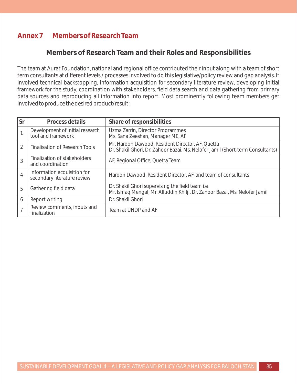## **Annex 7 Members of Research Team**

### **Members of Research Team and their Roles and Responsibilities**

The team at Aurat Foundation, national and regional office contributed their input along with a team of short term consultants at different levels / processes involved to do this legislative/policy review and gap analysis. It involved technical backstopping, information acquisition for secondary literature review, developing initial framework for the study, coordination with stakeholders, field data search and data gathering from primary data sources and reproducing all information into report. Most prominently following team members get involved to produce the desired product/result;

| Sr             | Process details                                            | Share of responsibilities                                                                                                          |
|----------------|------------------------------------------------------------|------------------------------------------------------------------------------------------------------------------------------------|
|                | Development of initial research<br>tool and framework      | Uzma Zarrin, Director Programmes<br>Ms. Sana Zeeshan, Manager ME, AF                                                               |
| 2              | <b>Finalisation of Research Tools</b>                      | Mr. Haroon Dawood, Resident Director, AF, Quetta<br>Dr. Shakil Ghori, Dr. Zahoor Bazai, Ms. Nelofer Jamil (Short-term Consultants) |
| 3              | Finalization of stakeholders<br>and coordination           | AF, Regional Office, Quetta Team                                                                                                   |
| $\overline{4}$ | Information acquisition for<br>secondary literature review | Haroon Dawood, Resident Director, AF, and team of consultants                                                                      |
| 5              | Gathering field data                                       | Dr. Shakil Ghori supervising the field team i.e<br>Mr. Ishfaq Mengal, Mr. Alluddin Khilji, Dr. Zahoor Bazai, Ms. Nelofer Jamil     |
| 6              | Report writing                                             | Dr. Shakil Ghori                                                                                                                   |
|                | Review comments, inputs and<br>finalization                | Team at UNDP and AF                                                                                                                |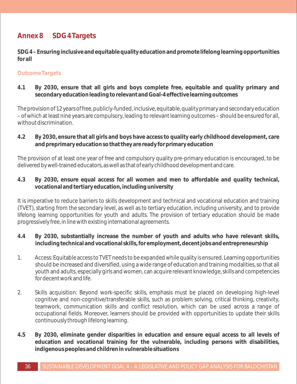## **Annex 8 SDG 4 Targets**

**SDG 4 – Ensuring inclusive and equitable quality education and promote lifelong learning opportunities for all**

#### **Outcome Targets**

**4.1 By 2030, ensure that all girls and boys complete free, equitable and quality primary and secondary education leading to relevant and Goal-4 effective learning outcomes**

The provision of 12 years of free, publicly-funded, inclusive, equitable, quality primary and secondary education – of which at least nine years are compulsory, leading to relevant learning outcomes – should be ensured for all, without discrimination.

**4.2 By 2030, ensure that all girls and boys have access to quality early childhood development, care and preprimary education so that they are ready for primary education**

The provision of at least one year of free and compulsory quality pre-primary education is encouraged, to be delivered by well-trained educators, as well as that of early childhood development and care.

**4.3 By 2030, ensure equal access for all women and men to affordable and quality technical, vocational and tertiary education, including university**

It is imperative to reduce barriers to skills development and technical and vocational education and training (TVET), starting from the secondary level, as well as to tertiary education, including university, and to provide lifelong learning opportunities for youth and adults. The provision of tertiary education should be made progressively free, in line with existing international agreements.

- **4.4 By 2030, substantially increase the number of youth and adults who have relevant skills, including technical and vocational skills, for employment, decent jobs and entrepreneurship**
- 1. Access: Equitable access to TVET needs to be expanded while quality is ensured. Learning opportunities should be increased and diversified, using a wide range of education and training modalities, so that all youth and adults, especially girls and women, can acquire relevant knowledge, skills and competencies for decent work and life.
- 2. Skills acquisition: Beyond work-specific skills, emphasis must be placed on developing high-level cognitive and non-cognitive/transferable skills, such as problem solving, critical thinking, creativity, teamwork, communication skills and conflict resolution, which can be used across a range of occupational fields. Moreover, learners should be provided with opportunities to update their skills continuously through lifelong learning.
- **4.5 By 2030, eliminate gender disparities in education and ensure equal access to all levels of education and vocational training for the vulnerable, including persons with disabilities, indigenous peoples and children in vulnerable situations**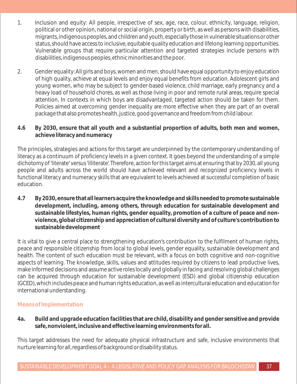- 1. Inclusion and equity: All people, irrespective of sex, age, race, colour, ethnicity, language, religion, political or other opinion, national or social origin, property or birth, as well as persons with disabilities, migrants, indigenous peoples, and children and youth, especially those in vulnerable situations or other status, should have access to inclusive, equitable quality education and lifelong learning opportunities. Vulnerable groups that require particular attention and targeted strategies include persons with disabilities, indigenous peoples, ethnic minorities and the poor.
- 2. Gender equality: All girls and boys, women and men, should have equal opportunity to enjoy education of high quality, achieve at equal levels and enjoy equal benefits from education. Adolescent girls and young women, who may be subject to gender-based violence, child marriage, early pregnancy and a heavy load of household chores, as well as those living in poor and remote rural areas, require special attention. In contexts in which boys are disadvantaged, targeted action should be taken for them. Policies aimed at overcoming gender inequality are more effective when they are part of an overall package that also promotes health, justice, good governance and freedom from child labour.
- **4.6 By 2030, ensure that all youth and a substantial proportion of adults, both men and women, achieve literacy and numeracy**

The principles, strategies and actions for this target are underpinned by the contemporary understanding of literacy as a continuum of proficiency levels in a given context. It goes beyond the understanding of a simple dichotomy of 'literate' versus 'illiterate'. Therefore, action for this target aims at ensuring that by 2030, all young people and adults across the world should have achieved relevant and recognized proficiency levels in functional literacy and numeracy skills that are equivalent to levels achieved at successful completion of basic education.

**4.7 By 2030, ensure that all learners acquire the knowledge and skills needed to promote sustainable development, including, among others, through education for sustainable development and sustainable lifestyles, human rights, gender equality, promotion of a culture of peace and nonviolence, global citizenship and appreciation of cultural diversity and of culture's contribution to sustainable development**

It is vital to give a central place to strengthening education's contribution to the fulfilment of human rights, peace and responsible citizenship from local to global levels, gender equality, sustainable development and health. The content of such education must be relevant, with a focus on both cognitive and non-cognitive aspects of learning. The knowledge, skills, values and attitudes required by citizens to lead productive lives, make informed decisions and assume active roles locally and globally in facing and resolving global challenges can be acquired through education for sustainable development (ESD) and global citizenship education (GCED), which includes peace and human rights education, as well as intercultural education and education for international understanding.

#### **Means of Implementation**

**4a. Build and upgrade education facilities that are child, disability and gender sensitive and provide safe, nonviolent, inclusive and effective learning environments for all.**

This target addresses the need for adequate physical infrastructure and safe, inclusive environments that nurture learning for all, regardless of background or disability status.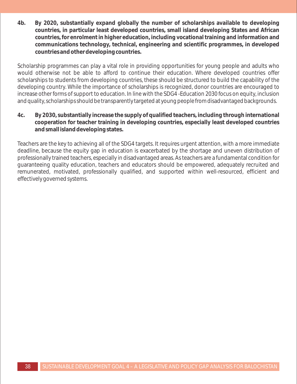**4b. By 2020, substantially expand globally the number of scholarships available to developing countries, in particular least developed countries, small island developing States and African countries, for enrolment in higher education, including vocational training and information and communications technology, technical, engineering and scientific programmes, in developed countries and other developing countries.**

Scholarship programmes can play a vital role in providing opportunities for young people and adults who would otherwise not be able to afford to continue their education. Where developed countries offer scholarships to students from developing countries, these should be structured to build the capability of the developing country. While the importance of scholarships is recognized, donor countries are encouraged to increase other forms of support to education. In line with the SDG4 -Education 2030 focus on equity, inclusion and quality, scholarships should be transparently targeted at young people from disadvantaged backgrounds.

**4c. By 2030, substantially increase the supply of qualified teachers, including through international cooperation for teacher training in developing countries, especially least developed countries and small island developing states.**

Teachers are the key to achieving all of the SDG4 targets. It requires urgent attention, with a more immediate deadline, because the equity gap in education is exacerbated by the shortage and uneven distribution of professionally trained teachers, especially in disadvantaged areas. As teachers are a fundamental condition for guaranteeing quality education, teachers and educators should be empowered, adequately recruited and remunerated, motivated, professionally qualified, and supported within well-resourced, efficient and effectively governed systems.